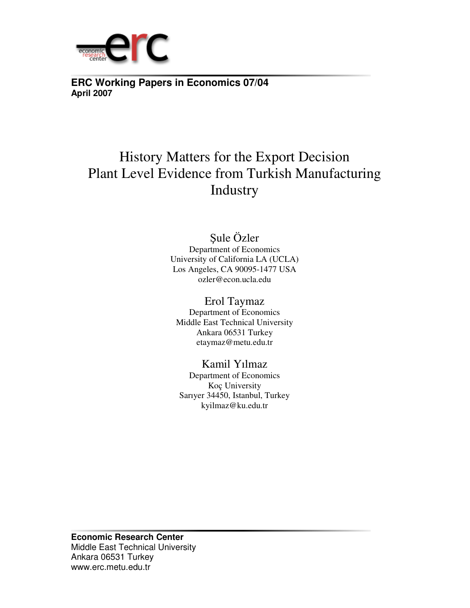

**ERC Working Papers in Economics 07/04 April 2007**

# History Matters for the Export Decision Plant Level Evidence from Turkish Manufacturing Industry

# Şule Özler

Department of Economics University of California LA (UCLA) Los Angeles, CA 90095-1477 USA ozler@econ.ucla.edu

Erol Taymaz

Department of Economics Middle East Technical University Ankara 06531 Turkey etaymaz@metu.edu.tr

Kamil Yılmaz

Department of Economics Koç University Sarıyer 34450, Istanbul, Turkey kyilmaz@ku.edu.tr

**Economic Research Center**  Middle East Technical University Ankara 06531 Turkey www.erc.metu.edu.tr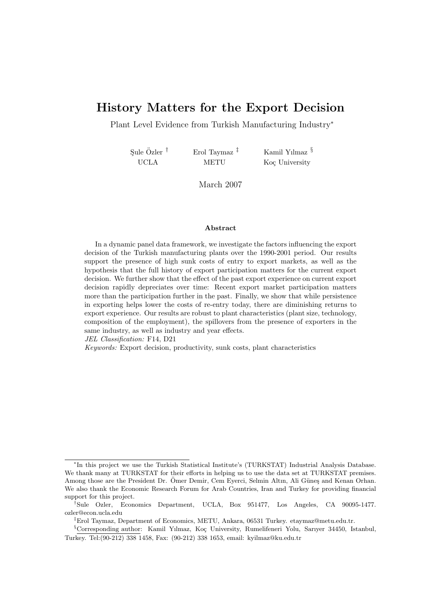# History Matters for the Export Decision

Plant Level Evidence from Turkish Manufacturing Industry<sup>∗</sup>

Sule Özler<sup>†</sup> UCLA Erol Taymaz ‡ METU

Kamil Yılmaz § Koç University

March 2007

#### Abstract

In a dynamic panel data framework, we investigate the factors influencing the export decision of the Turkish manufacturing plants over the 1990-2001 period. Our results support the presence of high sunk costs of entry to export markets, as well as the hypothesis that the full history of export participation matters for the current export decision. We further show that the effect of the past export experience on current export decision rapidly depreciates over time: Recent export market participation matters more than the participation further in the past. Finally, we show that while persistence in exporting helps lower the costs of re-entry today, there are diminishing returns to export experience. Our results are robust to plant characteristics (plant size, technology, composition of the employment), the spillovers from the presence of exporters in the same industry, as well as industry and year effects.

JEL Classification: F14, D21

Keywords: Export decision, productivity, sunk costs, plant characteristics

<sup>∗</sup> In this project we use the Turkish Statistical Institute's (TURKSTAT) Industrial Analysis Database. We thank many at TURKSTAT for their efforts in helping us to use the data set at TURKSTAT premises. Among those are the President Dr. Ömer Demir, Cem Eyerci, Selmin Altın, Ali Güneş and Kenan Orhan. We also thank the Economic Research Forum for Arab Countries, Iran and Turkey for providing financial support for this project.

<sup>†</sup>Sule Ozler, Economics Department, UCLA, Box 951477, Los Angeles, CA 90095-1477. ozler@econ.ucla.edu

<sup>‡</sup>Erol Taymaz, Department of Economics, METU, Ankara, 06531 Turkey. etaymaz@metu.edu.tr.

<sup>§</sup>Corresponding author: Kamil Yılmaz, Koç University, Rumelifeneri Yolu, Sarıyer 34450, Istanbul, Turkey. Tel:(90-212) 338 1458, Fax: (90-212) 338 1653, email: kyilmaz@ku.edu.tr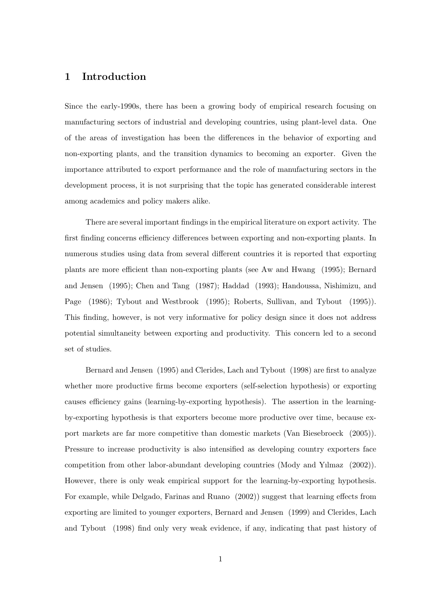#### 1 Introduction

Since the early-1990s, there has been a growing body of empirical research focusing on manufacturing sectors of industrial and developing countries, using plant-level data. One of the areas of investigation has been the differences in the behavior of exporting and non-exporting plants, and the transition dynamics to becoming an exporter. Given the importance attributed to export performance and the role of manufacturing sectors in the development process, it is not surprising that the topic has generated considerable interest among academics and policy makers alike.

There are several important findings in the empirical literature on export activity. The first finding concerns efficiency differences between exporting and non-exporting plants. In numerous studies using data from several different countries it is reported that exporting plants are more efficient than non-exporting plants (see Aw and Hwang (1995); Bernard and Jensen (1995); Chen and Tang (1987); Haddad (1993); Handoussa, Nishimizu, and Page (1986); Tybout and Westbrook (1995); Roberts, Sullivan, and Tybout (1995)). This finding, however, is not very informative for policy design since it does not address potential simultaneity between exporting and productivity. This concern led to a second set of studies.

Bernard and Jensen (1995) and Clerides, Lach and Tybout (1998) are first to analyze whether more productive firms become exporters (self-selection hypothesis) or exporting causes efficiency gains (learning-by-exporting hypothesis). The assertion in the learningby-exporting hypothesis is that exporters become more productive over time, because export markets are far more competitive than domestic markets (Van Biesebroeck (2005)). Pressure to increase productivity is also intensified as developing country exporters face competition from other labor-abundant developing countries (Mody and Yılmaz (2002)). However, there is only weak empirical support for the learning-by-exporting hypothesis. For example, while Delgado, Farinas and Ruano (2002)) suggest that learning effects from exporting are limited to younger exporters, Bernard and Jensen (1999) and Clerides, Lach and Tybout (1998) find only very weak evidence, if any, indicating that past history of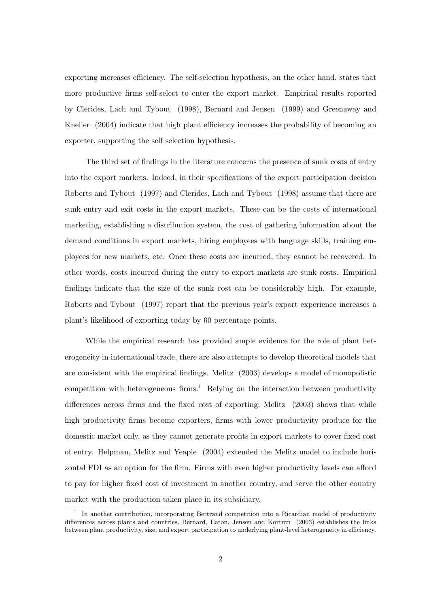exporting increases efficiency. The self-selection hypothesis, on the other hand, states that more productive firms self-select to enter the export market. Empirical results reported by Clerides, Lach and Tybout (1998), Bernard and Jensen (1999) and Greenaway and Kneller (2004) indicate that high plant efficiency increases the probability of becoming an exporter, supporting the self selection hypothesis.

The third set of findings in the literature concerns the presence of sunk costs of entry into the export markets. Indeed, in their specifications of the export participation decision Roberts and Tybout (1997) and Clerides, Lach and Tybout (1998) assume that there are sunk entry and exit costs in the export markets. These can be the costs of international marketing, establishing a distribution system, the cost of gathering information about the demand conditions in export markets, hiring employees with language skills, training employees for new markets, etc. Once these costs are incurred, they cannot be recovered. In other words, costs incurred during the entry to export markets are sunk costs. Empirical findings indicate that the size of the sunk cost can be considerably high. For example, Roberts and Tybout (1997) report that the previous year's export experience increases a plant's likelihood of exporting today by 60 percentage points.

While the empirical research has provided ample evidence for the role of plant heterogeneity in international trade, there are also attempts to develop theoretical models that are consistent with the empirical findings. Melitz (2003) develops a model of monopolistic competition with heterogeneous firms.<sup>1</sup> Relying on the interaction between productivity differences across firms and the fixed cost of exporting, Melitz (2003) shows that while high productivity firms become exporters, firms with lower productivity produce for the domestic market only, as they cannot generate profits in export markets to cover fixed cost of entry. Helpman, Melitz and Yeaple (2004) extended the Melitz model to include horizontal FDI as an option for the firm. Firms with even higher productivity levels can afford to pay for higher fixed cost of investment in another country, and serve the other country market with the production taken place in its subsidiary.

<sup>&</sup>lt;sup>1</sup> In another contribution, incorporating Bertrand competition into a Ricardian model of productivity differences across plants and countries, Bernard, Eaton, Jensen and Kortum (2003) establishes the links between plant productivity, size, and export participation to underlying plant-level heterogeneity in efficiency.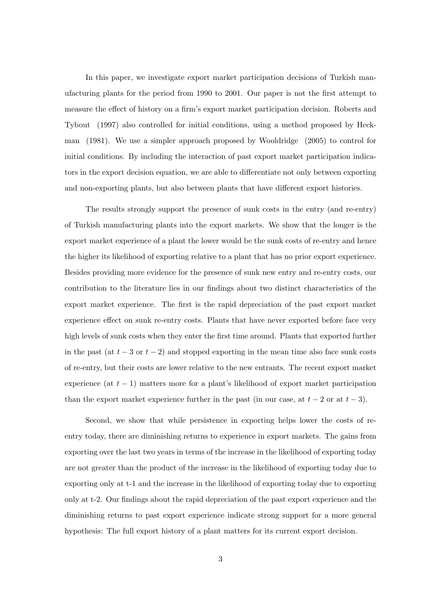In this paper, we investigate export market participation decisions of Turkish manufacturing plants for the period from 1990 to 2001. Our paper is not the first attempt to measure the effect of history on a firm's export market participation decision. Roberts and Tybout (1997) also controlled for initial conditions, using a method proposed by Heckman (1981). We use a simpler approach proposed by Wooldridge (2005) to control for initial conditions. By including the interaction of past export market participation indicators in the export decision equation, we are able to differentiate not only between exporting and non-exporting plants, but also between plants that have different export histories.

The results strongly support the presence of sunk costs in the entry (and re-entry) of Turkish manufacturing plants into the export markets. We show that the longer is the export market experience of a plant the lower would be the sunk costs of re-entry and hence the higher its likelihood of exporting relative to a plant that has no prior export experience. Besides providing more evidence for the presence of sunk new entry and re-entry costs, our contribution to the literature lies in our findings about two distinct characteristics of the export market experience. The first is the rapid depreciation of the past export market experience effect on sunk re-entry costs. Plants that have never exported before face very high levels of sunk costs when they enter the first time around. Plants that exported further in the past (at  $t - 3$  or  $t - 2$ ) and stopped exporting in the mean time also face sunk costs of re-entry, but their costs are lower relative to the new entrants. The recent export market experience (at  $t-1$ ) matters more for a plant's likelihood of export market participation than the export market experience further in the past (in our case, at  $t-2$  or at  $t-3$ ).

Second, we show that while persistence in exporting helps lower the costs of reentry today, there are diminishing returns to experience in export markets. The gains from exporting over the last two years in terms of the increase in the likelihood of exporting today are not greater than the product of the increase in the likelihood of exporting today due to exporting only at t-1 and the increase in the likelihood of exporting today due to exporting only at t-2. Our findings about the rapid depreciation of the past export experience and the diminishing returns to past export experience indicate strong support for a more general hypothesis: The full export history of a plant matters for its current export decision.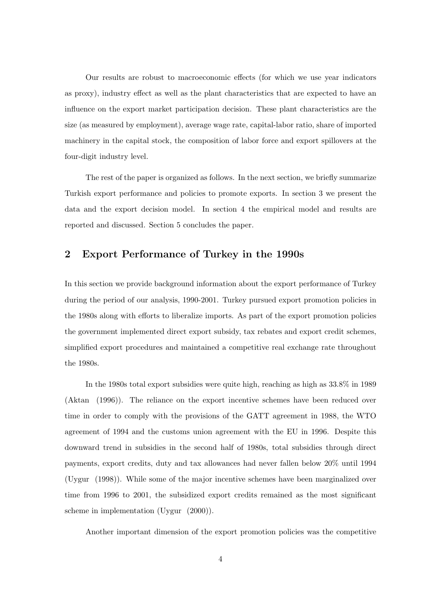Our results are robust to macroeconomic effects (for which we use year indicators as proxy), industry effect as well as the plant characteristics that are expected to have an influence on the export market participation decision. These plant characteristics are the size (as measured by employment), average wage rate, capital-labor ratio, share of imported machinery in the capital stock, the composition of labor force and export spillovers at the four-digit industry level.

The rest of the paper is organized as follows. In the next section, we briefly summarize Turkish export performance and policies to promote exports. In section 3 we present the data and the export decision model. In section 4 the empirical model and results are reported and discussed. Section 5 concludes the paper.

## 2 Export Performance of Turkey in the 1990s

In this section we provide background information about the export performance of Turkey during the period of our analysis, 1990-2001. Turkey pursued export promotion policies in the 1980s along with efforts to liberalize imports. As part of the export promotion policies the government implemented direct export subsidy, tax rebates and export credit schemes, simplified export procedures and maintained a competitive real exchange rate throughout the 1980s.

In the 1980s total export subsidies were quite high, reaching as high as 33.8% in 1989 (Aktan (1996)). The reliance on the export incentive schemes have been reduced over time in order to comply with the provisions of the GATT agreement in 1988, the WTO agreement of 1994 and the customs union agreement with the EU in 1996. Despite this downward trend in subsidies in the second half of 1980s, total subsidies through direct payments, export credits, duty and tax allowances had never fallen below 20% until 1994 (Uygur (1998)). While some of the major incentive schemes have been marginalized over time from 1996 to 2001, the subsidized export credits remained as the most significant scheme in implementation (Uygur (2000)).

Another important dimension of the export promotion policies was the competitive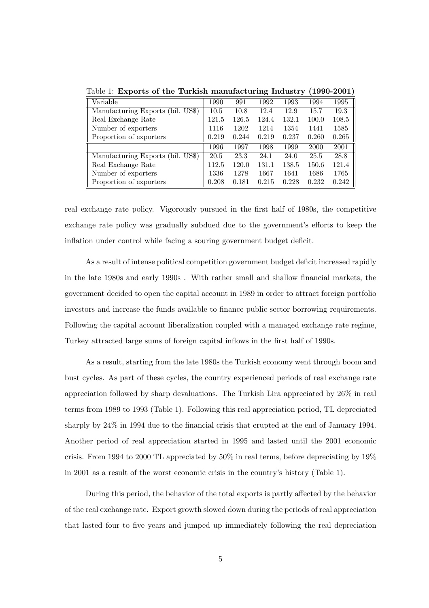| Variable                          | 1990  | 991   | 1992  | 1993  | 1994  | 1995  |
|-----------------------------------|-------|-------|-------|-------|-------|-------|
| Manufacturing Exports (bil. US\$) | 10.5  | 10.8  | 12.4  | 12.9  | 15.7  | 19.3  |
| Real Exchange Rate                | 121.5 | 126.5 | 124.4 | 132.1 | 100.0 | 108.5 |
| Number of exporters               | 1116  | 1202  | 1214  | 1354  | 1441  | 1585  |
| Proportion of exporters           | 0.219 | 0.244 | 0.219 | 0.237 | 0.260 | 0.265 |
|                                   | 1996  | 1997  | 1998  | 1999  | 2000  | 2001  |
| Manufacturing Exports (bil. US\$) | 20.5  | 23.3  | 24.1  | 24.0  | 25.5  | 28.8  |
| Real Exchange Rate                | 112.5 | 120.0 | 131.1 | 138.5 | 150.6 | 121.4 |
| Number of exporters               | 1336  | 1278  | 1667  | 1641  | 1686  | 1765  |
| Proportion of exporters           | 0.208 | 0.181 | 0.215 | 0.228 | 0.232 | 0.242 |

Table 1: Exports of the Turkish manufacturing Industry (1990-2001)

real exchange rate policy. Vigorously pursued in the first half of 1980s, the competitive exchange rate policy was gradually subdued due to the government's efforts to keep the inflation under control while facing a souring government budget deficit.

As a result of intense political competition government budget deficit increased rapidly in the late 1980s and early 1990s . With rather small and shallow financial markets, the government decided to open the capital account in 1989 in order to attract foreign portfolio investors and increase the funds available to finance public sector borrowing requirements. Following the capital account liberalization coupled with a managed exchange rate regime, Turkey attracted large sums of foreign capital inflows in the first half of 1990s.

As a result, starting from the late 1980s the Turkish economy went through boom and bust cycles. As part of these cycles, the country experienced periods of real exchange rate appreciation followed by sharp devaluations. The Turkish Lira appreciated by 26% in real terms from 1989 to 1993 (Table 1). Following this real appreciation period, TL depreciated sharply by 24% in 1994 due to the financial crisis that erupted at the end of January 1994. Another period of real appreciation started in 1995 and lasted until the 2001 economic crisis. From 1994 to 2000 TL appreciated by 50% in real terms, before depreciating by 19% in 2001 as a result of the worst economic crisis in the country's history (Table 1).

During this period, the behavior of the total exports is partly affected by the behavior of the real exchange rate. Export growth slowed down during the periods of real appreciation that lasted four to five years and jumped up immediately following the real depreciation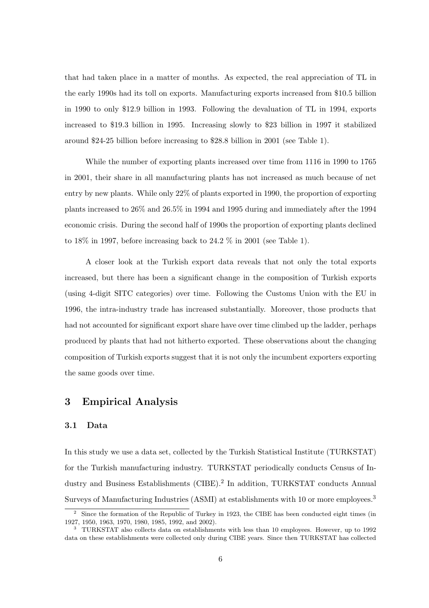that had taken place in a matter of months. As expected, the real appreciation of TL in the early 1990s had its toll on exports. Manufacturing exports increased from \$10.5 billion in 1990 to only \$12.9 billion in 1993. Following the devaluation of TL in 1994, exports increased to \$19.3 billion in 1995. Increasing slowly to \$23 billion in 1997 it stabilized around \$24-25 billion before increasing to \$28.8 billion in 2001 (see Table 1).

While the number of exporting plants increased over time from 1116 in 1990 to 1765 in 2001, their share in all manufacturing plants has not increased as much because of net entry by new plants. While only 22% of plants exported in 1990, the proportion of exporting plants increased to 26% and 26.5% in 1994 and 1995 during and immediately after the 1994 economic crisis. During the second half of 1990s the proportion of exporting plants declined to 18% in 1997, before increasing back to 24.2 % in 2001 (see Table 1).

A closer look at the Turkish export data reveals that not only the total exports increased, but there has been a significant change in the composition of Turkish exports (using 4-digit SITC categories) over time. Following the Customs Union with the EU in 1996, the intra-industry trade has increased substantially. Moreover, those products that had not accounted for significant export share have over time climbed up the ladder, perhaps produced by plants that had not hitherto exported. These observations about the changing composition of Turkish exports suggest that it is not only the incumbent exporters exporting the same goods over time.

# 3 Empirical Analysis

#### 3.1 Data

In this study we use a data set, collected by the Turkish Statistical Institute (TURKSTAT) for the Turkish manufacturing industry. TURKSTAT periodically conducts Census of Industry and Business Establishments (CIBE).<sup>2</sup> In addition, TURKSTAT conducts Annual Surveys of Manufacturing Industries (ASMI) at establishments with 10 or more employees.<sup>3</sup>

<sup>&</sup>lt;sup>2</sup> Since the formation of the Republic of Turkey in 1923, the CIBE has been conducted eight times (in 1927, 1950, 1963, 1970, 1980, 1985, 1992, and 2002).

<sup>&</sup>lt;sup>3</sup> TURKSTAT also collects data on establishments with less than 10 employees. However, up to 1992 data on these establishments were collected only during CIBE years. Since then TURKSTAT has collected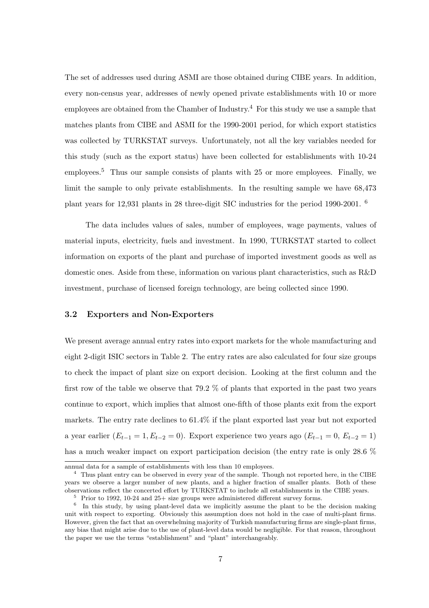The set of addresses used during ASMI are those obtained during CIBE years. In addition, every non-census year, addresses of newly opened private establishments with 10 or more employees are obtained from the Chamber of Industry.<sup>4</sup> For this study we use a sample that matches plants from CIBE and ASMI for the 1990-2001 period, for which export statistics was collected by TURKSTAT surveys. Unfortunately, not all the key variables needed for this study (such as the export status) have been collected for establishments with 10-24 employees.<sup>5</sup> Thus our sample consists of plants with 25 or more employees. Finally, we limit the sample to only private establishments. In the resulting sample we have 68,473 plant years for 12,931 plants in 28 three-digit SIC industries for the period 1990-2001. <sup>6</sup>

The data includes values of sales, number of employees, wage payments, values of material inputs, electricity, fuels and investment. In 1990, TURKSTAT started to collect information on exports of the plant and purchase of imported investment goods as well as domestic ones. Aside from these, information on various plant characteristics, such as R&D investment, purchase of licensed foreign technology, are being collected since 1990.

#### 3.2 Exporters and Non-Exporters

We present average annual entry rates into export markets for the whole manufacturing and eight 2-digit ISIC sectors in Table 2. The entry rates are also calculated for four size groups to check the impact of plant size on export decision. Looking at the first column and the first row of the table we observe that 79.2 % of plants that exported in the past two years continue to export, which implies that almost one-fifth of those plants exit from the export markets. The entry rate declines to 61.4% if the plant exported last year but not exported a year earlier  $(E_{t-1} = 1, E_{t-2} = 0)$ . Export experience two years ago  $(E_{t-1} = 0, E_{t-2} = 1)$ has a much weaker impact on export participation decision (the entry rate is only 28.6  $%$ 

annual data for a sample of establishments with less than 10 employees.

<sup>4</sup> Thus plant entry can be observed in every year of the sample. Though not reported here, in the CIBE years we observe a larger number of new plants, and a higher fraction of smaller plants. Both of these observations reflect the concerted effort by TURKSTAT to include all establishments in the CIBE years.

<sup>5</sup> Prior to 1992, 10-24 and 25+ size groups were administered different survey forms.

<sup>&</sup>lt;sup>6</sup> In this study, by using plant-level data we implicitly assume the plant to be the decision making unit with respect to exporting. Obviously this assumption does not hold in the case of multi-plant firms. However, given the fact that an overwhelming majority of Turkish manufacturing firms are single-plant firms, any bias that might arise due to the use of plant-level data would be negligible. For that reason, throughout the paper we use the terms "establishment" and "plant" interchangeably.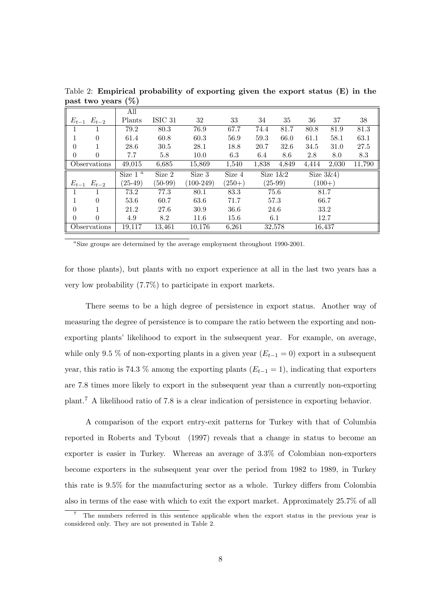|          |                     | All        |           |             |          |       |             |              |          |        |
|----------|---------------------|------------|-----------|-------------|----------|-------|-------------|--------------|----------|--------|
|          | $E_{t-1}$ $E_{t-2}$ | Plants     | ISIC 31   | 32          | 33       | 34    | 35          | 36           | 37       | 38     |
|          |                     | 79.2       | 80.3      | 76.9        | 67.7     | 74.4  | 81.7        | 80.8         | 81.9     | 81.3   |
|          | $\Omega$            | 61.4       | 60.8      | 60.3        | 56.9     | 59.3  | 66.0        | 61.1         | 58.1     | 63.1   |
| $\theta$ |                     | 28.6       | 30.5      | 28.1        | 18.8     | 20.7  | 32.6        | 34.5         | 31.0     | 27.5   |
| $\theta$ | $\left($            | 7.7        | 5.8       | 10.0        | 6.3      | 6.4   | 8.6         | 2.8          | 8.0      | 8.3    |
|          | Observations        | 49,015     | 6,685     | 15,869      | 1,540    | 1,838 | 4,849       | 4,414        | 2,030    | 11,790 |
|          |                     | Size $1^a$ | Size 2    | Size 3      | Size 4   |       | Size $1\&2$ | Size $3\&4)$ |          |        |
|          | $E_{t-1}$ $E_{t-2}$ | $(25-49)$  | $(50-99)$ | $(100-249)$ | $(250+)$ |       | $(25-99)$   |              | $(100+)$ |        |
|          |                     | 73.2       | 77.3      | 80.1        | 83.3     |       | 75.6        |              | 81.7     |        |
|          | $\Omega$            | 53.6       | 60.7      | 63.6        | 71.7     |       | 57.3        |              | 66.7     |        |
| 0        |                     | 21.2       | 27.6      | 30.9        | 36.6     |       | 24.6        |              | 33.2     |        |
| $\theta$ | $\Omega$            | 4.9        | 8.2       | 11.6        | 15.6     | 6.1   |             |              | 12.7     |        |
|          | Observations        | 19,117     | 13,461    | 10,176      | 6,261    |       | 32,578      |              | 16,437   |        |

Table 2: Empirical probability of exporting given the export status (E) in the past two years (%)

<sup>a</sup>Size groups are determined by the average employment throughout 1990-2001.

for those plants), but plants with no export experience at all in the last two years has a very low probability (7.7%) to participate in export markets.

There seems to be a high degree of persistence in export status. Another way of measuring the degree of persistence is to compare the ratio between the exporting and nonexporting plants' likelihood to export in the subsequent year. For example, on average, while only 9.5 % of non-exporting plants in a given year  $(E_{t-1} = 0)$  export in a subsequent year, this ratio is 74.3 % among the exporting plants  $(E_{t-1} = 1)$ , indicating that exporters are 7.8 times more likely to export in the subsequent year than a currently non-exporting plant.<sup>7</sup> A likelihood ratio of 7.8 is a clear indication of persistence in exporting behavior.

A comparison of the export entry-exit patterns for Turkey with that of Columbia reported in Roberts and Tybout (1997) reveals that a change in status to become an exporter is easier in Turkey. Whereas an average of 3.3% of Colombian non-exporters become exporters in the subsequent year over the period from 1982 to 1989, in Turkey this rate is 9.5% for the manufacturing sector as a whole. Turkey differs from Colombia also in terms of the ease with which to exit the export market. Approximately 25.7% of all

<sup>7</sup> The numbers referred in this sentence applicable when the export status in the previous year is considered only. They are not presented in Table 2.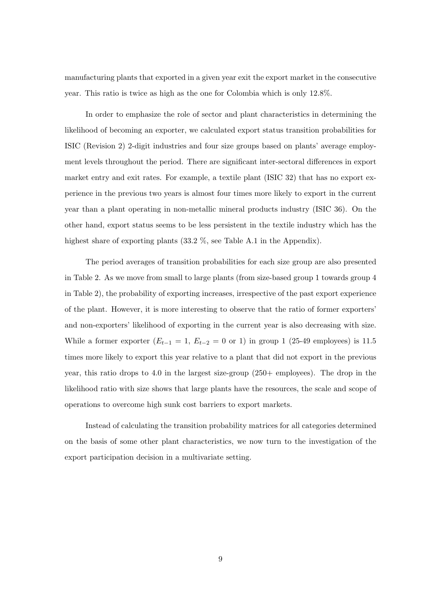manufacturing plants that exported in a given year exit the export market in the consecutive year. This ratio is twice as high as the one for Colombia which is only 12.8%.

In order to emphasize the role of sector and plant characteristics in determining the likelihood of becoming an exporter, we calculated export status transition probabilities for ISIC (Revision 2) 2-digit industries and four size groups based on plants' average employment levels throughout the period. There are significant inter-sectoral differences in export market entry and exit rates. For example, a textile plant (ISIC 32) that has no export experience in the previous two years is almost four times more likely to export in the current year than a plant operating in non-metallic mineral products industry (ISIC 36). On the other hand, export status seems to be less persistent in the textile industry which has the highest share of exporting plants (33.2 %, see Table A.1 in the Appendix).

The period averages of transition probabilities for each size group are also presented in Table 2. As we move from small to large plants (from size-based group 1 towards group 4 in Table 2), the probability of exporting increases, irrespective of the past export experience of the plant. However, it is more interesting to observe that the ratio of former exporters' and non-exporters' likelihood of exporting in the current year is also decreasing with size. While a former exporter  $(E_{t-1} = 1, E_{t-2} = 0 \text{ or } 1)$  in group 1 (25-49 employees) is 11.5 times more likely to export this year relative to a plant that did not export in the previous year, this ratio drops to 4.0 in the largest size-group (250+ employees). The drop in the likelihood ratio with size shows that large plants have the resources, the scale and scope of operations to overcome high sunk cost barriers to export markets.

Instead of calculating the transition probability matrices for all categories determined on the basis of some other plant characteristics, we now turn to the investigation of the export participation decision in a multivariate setting.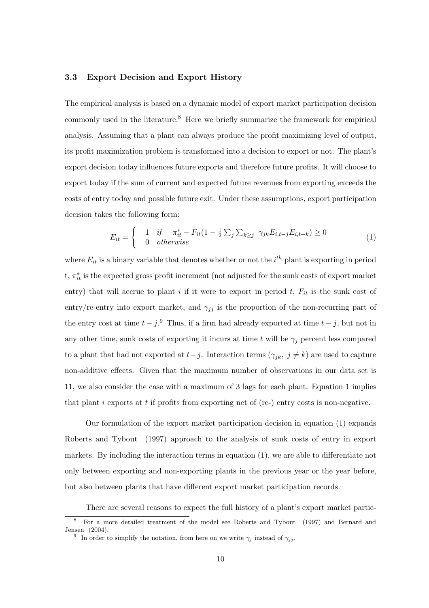#### 3.3 Export Decision and Export History

The empirical analysis is based on a dynamic model of export market participation decision commonly used in the literature.<sup>8</sup> Here we briefly summarize the framework for empirical analysis. Assuming that a plant can always produce the profit maximizing level of output, its profit maximization problem is transformed into a decision to export or not. The plant's export decision today influences future exports and therefore future profits. It will choose to export today if the sum of current and expected future revenues from exporting exceeds the costs of entry today and possible future exit. Under these assumptions, export participation decision takes the following form:

$$
E_{it} = \begin{cases} 1 & \text{if } \pi_{it}^* - F_{it}(1 - \frac{1}{2} \sum_j \sum_{k \ge j} \gamma_{jk} E_{i,t-j} E_{i,t-k}) \ge 0\\ 0 & \text{otherwise} \end{cases}
$$
(1)

where  $E_{it}$  is a binary variable that denotes whether or not the  $i^{th}$  plant is exporting in period t,  $\pi_{it}^*$  is the expected gross profit increment (not adjusted for the sunk costs of export market entry) that will accrue to plant i if it were to export in period  $t$ ,  $F_{it}$  is the sunk cost of entry/re-entry into export market, and  $\gamma_{jj}$  is the proportion of the non-recurring part of the entry cost at time  $t - j$ .<sup>9</sup> Thus, if a firm had already exported at time  $t - j$ , but not in any other time, sunk costs of exporting it incurs at time t will be  $\gamma_i$  percent less compared to a plant that had not exported at  $t-j$ . Interaction terms  $(\gamma_{jk}, j \neq k)$  are used to capture non-additive effects. Given that the maximum number of observations in our data set is 11, we also consider the case with a maximum of 3 lags for each plant. Equation 1 implies that plant i exports at t if profits from exporting net of (re-) entry costs is non-negative.

Our formulation of the export market participation decision in equation (1) expands Roberts and Tybout (1997) approach to the analysis of sunk costs of entry in export markets. By including the interaction terms in equation (1), we are able to differentiate not only between exporting and non-exporting plants in the previous year or the year before, but also between plants that have different export market participation records.

There are several reasons to expect the full history of a plant's export market partic-

<sup>8</sup> For a more detailed treatment of the model see Roberts and Tybout (1997) and Bernard and Jensen (2004).

<sup>&</sup>lt;sup>9</sup> In order to simplify the notation, from here on we write  $\gamma_i$  instead of  $\gamma_{ij}$ .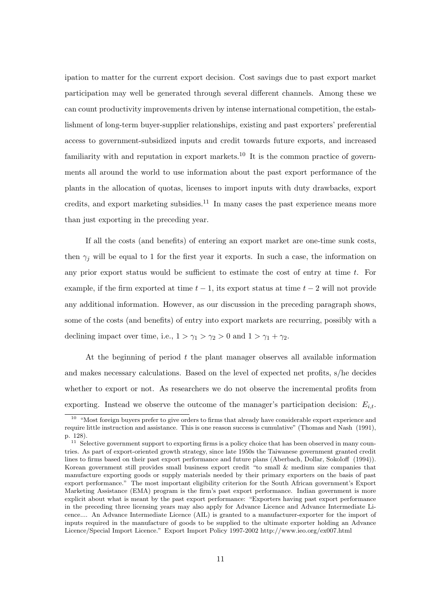ipation to matter for the current export decision. Cost savings due to past export market participation may well be generated through several different channels. Among these we can count productivity improvements driven by intense international competition, the establishment of long-term buyer-supplier relationships, existing and past exporters' preferential access to government-subsidized inputs and credit towards future exports, and increased familiarity with and reputation in export markets.<sup>10</sup> It is the common practice of governments all around the world to use information about the past export performance of the plants in the allocation of quotas, licenses to import inputs with duty drawbacks, export credits, and export marketing subsidies.<sup>11</sup> In many cases the past experience means more than just exporting in the preceding year.

If all the costs (and benefits) of entering an export market are one-time sunk costs, then  $\gamma_i$  will be equal to 1 for the first year it exports. In such a case, the information on any prior export status would be sufficient to estimate the cost of entry at time t. For example, if the firm exported at time  $t-1$ , its export status at time  $t-2$  will not provide any additional information. However, as our discussion in the preceding paragraph shows, some of the costs (and benefits) of entry into export markets are recurring, possibly with a declining impact over time, i.e.,  $1 > \gamma_1 > \gamma_2 > 0$  and  $1 > \gamma_1 + \gamma_2$ .

At the beginning of period  $t$  the plant manager observes all available information and makes necessary calculations. Based on the level of expected net profits, s/he decides whether to export or not. As researchers we do not observe the incremental profits from exporting. Instead we observe the outcome of the manager's participation decision:  $E_{i,t}$ .

 $10$  "Most foreign buyers prefer to give orders to firms that already have considerable export experience and require little instruction and assistance. This is one reason success is cumulative" (Thomas and Nash (1991), p. 128).

 $11$  Selective government support to exporting firms is a policy choice that has been observed in many countries. As part of export-oriented growth strategy, since late 1950s the Taiwanese government granted credit lines to firms based on their past export performance and future plans (Aberbach, Dollar, Sokoloff (1994)). Korean government still provides small business export credit "to small & medium size companies that manufacture exporting goods or supply materials needed by their primary exporters on the basis of past export performance." The most important eligibility criterion for the South African government's Export Marketing Assistance (EMA) program is the firm's past export performance. Indian government is more explicit about what is meant by the past export performance: "Exporters having past export performance in the preceding three licensing years may also apply for Advance Licence and Advance Intermediate Licence.... An Advance Intermediate Licence (AIL) is granted to a manufacturer-exporter for the import of inputs required in the manufacture of goods to be supplied to the ultimate exporter holding an Advance Licence/Special Import Licence." Export Import Policy 1997-2002 http://www.ieo.org/ex007.html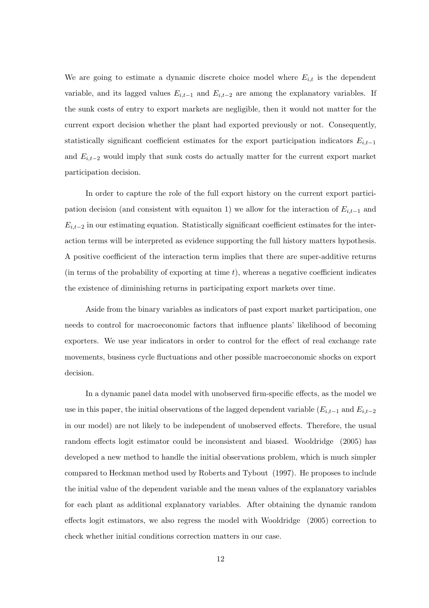We are going to estimate a dynamic discrete choice model where  $E_{i,t}$  is the dependent variable, and its lagged values  $E_{i,t-1}$  and  $E_{i,t-2}$  are among the explanatory variables. If the sunk costs of entry to export markets are negligible, then it would not matter for the current export decision whether the plant had exported previously or not. Consequently, statistically significant coefficient estimates for the export participation indicators  $E_{i,t-1}$ and  $E_{i,t-2}$  would imply that sunk costs do actually matter for the current export market participation decision.

In order to capture the role of the full export history on the current export participation decision (and consistent with equaiton 1) we allow for the interaction of  $E_{i,t-1}$  and  $E_{i,t-2}$  in our estimating equation. Statistically significant coefficient estimates for the interaction terms will be interpreted as evidence supporting the full history matters hypothesis. A positive coefficient of the interaction term implies that there are super-additive returns (in terms of the probability of exporting at time  $t$ ), whereas a negative coefficient indicates the existence of diminishing returns in participating export markets over time.

Aside from the binary variables as indicators of past export market participation, one needs to control for macroeconomic factors that influence plants' likelihood of becoming exporters. We use year indicators in order to control for the effect of real exchange rate movements, business cycle fluctuations and other possible macroeconomic shocks on export decision.

In a dynamic panel data model with unobserved firm-specific effects, as the model we use in this paper, the initial observations of the lagged dependent variable  $(E_{i,t-1}$  and  $E_{i,t-2}$ in our model) are not likely to be independent of unobserved effects. Therefore, the usual random effects logit estimator could be inconsistent and biased. Wooldridge (2005) has developed a new method to handle the initial observations problem, which is much simpler compared to Heckman method used by Roberts and Tybout (1997). He proposes to include the initial value of the dependent variable and the mean values of the explanatory variables for each plant as additional explanatory variables. After obtaining the dynamic random effects logit estimators, we also regress the model with Wooldridge (2005) correction to check whether initial conditions correction matters in our case.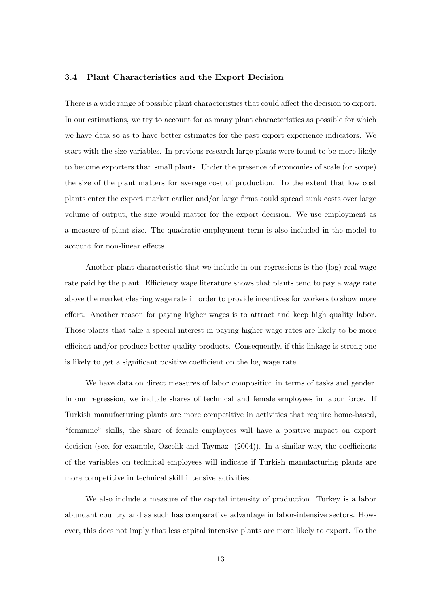#### 3.4 Plant Characteristics and the Export Decision

There is a wide range of possible plant characteristics that could affect the decision to export. In our estimations, we try to account for as many plant characteristics as possible for which we have data so as to have better estimates for the past export experience indicators. We start with the size variables. In previous research large plants were found to be more likely to become exporters than small plants. Under the presence of economies of scale (or scope) the size of the plant matters for average cost of production. To the extent that low cost plants enter the export market earlier and/or large firms could spread sunk costs over large volume of output, the size would matter for the export decision. We use employment as a measure of plant size. The quadratic employment term is also included in the model to account for non-linear effects.

Another plant characteristic that we include in our regressions is the (log) real wage rate paid by the plant. Efficiency wage literature shows that plants tend to pay a wage rate above the market clearing wage rate in order to provide incentives for workers to show more effort. Another reason for paying higher wages is to attract and keep high quality labor. Those plants that take a special interest in paying higher wage rates are likely to be more efficient and/or produce better quality products. Consequently, if this linkage is strong one is likely to get a significant positive coefficient on the log wage rate.

We have data on direct measures of labor composition in terms of tasks and gender. In our regression, we include shares of technical and female employees in labor force. If Turkish manufacturing plants are more competitive in activities that require home-based, "feminine" skills, the share of female employees will have a positive impact on export decision (see, for example, Ozcelik and Taymaz (2004)). In a similar way, the coefficients of the variables on technical employees will indicate if Turkish manufacturing plants are more competitive in technical skill intensive activities.

We also include a measure of the capital intensity of production. Turkey is a labor abundant country and as such has comparative advantage in labor-intensive sectors. However, this does not imply that less capital intensive plants are more likely to export. To the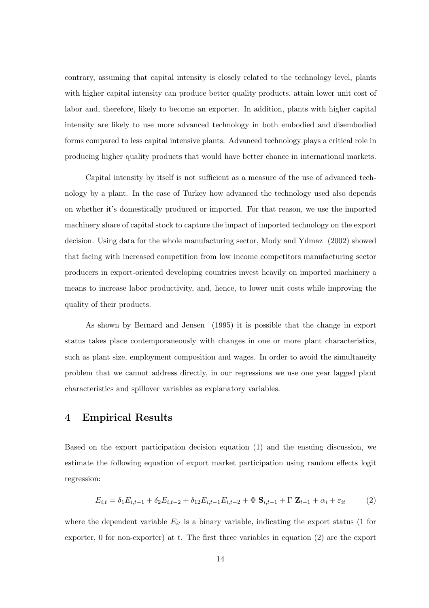contrary, assuming that capital intensity is closely related to the technology level, plants with higher capital intensity can produce better quality products, attain lower unit cost of labor and, therefore, likely to become an exporter. In addition, plants with higher capital intensity are likely to use more advanced technology in both embodied and disembodied forms compared to less capital intensive plants. Advanced technology plays a critical role in producing higher quality products that would have better chance in international markets.

Capital intensity by itself is not sufficient as a measure of the use of advanced technology by a plant. In the case of Turkey how advanced the technology used also depends on whether it's domestically produced or imported. For that reason, we use the imported machinery share of capital stock to capture the impact of imported technology on the export decision. Using data for the whole manufacturing sector, Mody and Yılmaz (2002) showed that facing with increased competition from low income competitors manufacturing sector producers in export-oriented developing countries invest heavily on imported machinery a means to increase labor productivity, and, hence, to lower unit costs while improving the quality of their products.

As shown by Bernard and Jensen (1995) it is possible that the change in export status takes place contemporaneously with changes in one or more plant characteristics, such as plant size, employment composition and wages. In order to avoid the simultaneity problem that we cannot address directly, in our regressions we use one year lagged plant characteristics and spillover variables as explanatory variables.

### 4 Empirical Results

Based on the export participation decision equation (1) and the ensuing discussion, we estimate the following equation of export market participation using random effects logit regression:

$$
E_{i,t} = \delta_1 E_{i,t-1} + \delta_2 E_{i,t-2} + \delta_{12} E_{i,t-1} E_{i,t-2} + \Phi \mathbf{S}_{i,t-1} + \Gamma \mathbf{Z}_{t-1} + \alpha_i + \varepsilon_{it} \tag{2}
$$

where the dependent variable  $E_{it}$  is a binary variable, indicating the export status (1 for exporter, 0 for non-exporter) at  $t$ . The first three variables in equation  $(2)$  are the export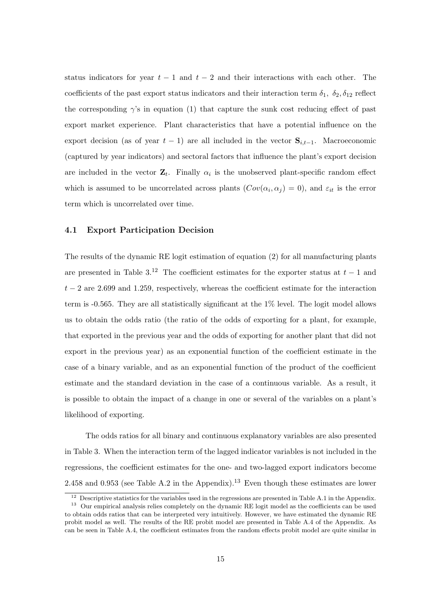status indicators for year  $t - 1$  and  $t - 2$  and their interactions with each other. The coefficients of the past export status indicators and their interaction term  $\delta_1$ ,  $\delta_2$ ,  $\delta_{12}$  reflect the corresponding  $\gamma$ 's in equation (1) that capture the sunk cost reducing effect of past export market experience. Plant characteristics that have a potential influence on the export decision (as of year  $t-1$ ) are all included in the vector  $S_{i,t-1}$ . Macroeconomic (captured by year indicators) and sectoral factors that influence the plant's export decision are included in the vector  $\mathbf{Z}_t$ . Finally  $\alpha_i$  is the unobserved plant-specific random effect which is assumed to be uncorrelated across plants  $(Cov(\alpha_i, \alpha_j) = 0)$ , and  $\varepsilon_{it}$  is the error term which is uncorrelated over time.

#### 4.1 Export Participation Decision

The results of the dynamic RE logit estimation of equation (2) for all manufacturing plants are presented in Table  $3^{12}$ . The coefficient estimates for the exporter status at  $t-1$  and  $t-2$  are 2.699 and 1.259, respectively, whereas the coefficient estimate for the interaction term is -0.565. They are all statistically significant at the 1% level. The logit model allows us to obtain the odds ratio (the ratio of the odds of exporting for a plant, for example, that exported in the previous year and the odds of exporting for another plant that did not export in the previous year) as an exponential function of the coefficient estimate in the case of a binary variable, and as an exponential function of the product of the coefficient estimate and the standard deviation in the case of a continuous variable. As a result, it is possible to obtain the impact of a change in one or several of the variables on a plant's likelihood of exporting.

The odds ratios for all binary and continuous explanatory variables are also presented in Table 3. When the interaction term of the lagged indicator variables is not included in the regressions, the coefficient estimates for the one- and two-lagged export indicators become 2.458 and 0.953 (see Table A.2 in the Appendix).<sup>13</sup> Even though these estimates are lower

 $12$  Descriptive statistics for the variables used in the regressions are presented in Table A.1 in the Appendix.

<sup>&</sup>lt;sup>13</sup> Our empirical analysis relies completely on the dynamic RE logit model as the coefficients can be used to obtain odds ratios that can be interpreted very intuitively. However, we have estimated the dynamic RE probit model as well. The results of the RE probit model are presented in Table A.4 of the Appendix. As can be seen in Table A.4, the coefficient estimates from the random effects probit model are quite similar in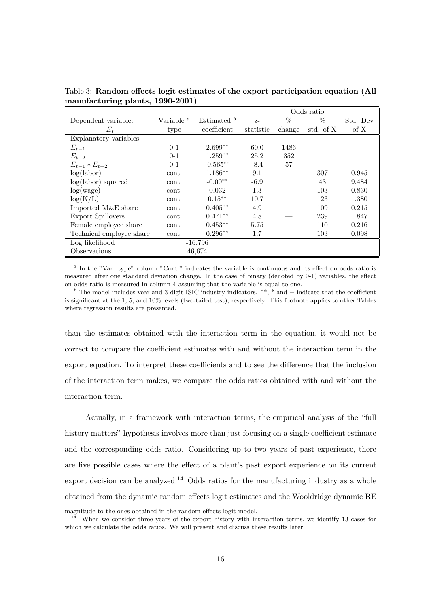|                          |                              |                        |           |        | Odds ratio |          |
|--------------------------|------------------------------|------------------------|-----------|--------|------------|----------|
| Dependent variable:      | Variable <sup><i>a</i></sup> | Estimated <sup>b</sup> | $Z-$      | $\%$   | $\%$       | Std. Dev |
| $E_t$                    | type                         | coefficient            | statistic | change | std. of X  | of X     |
| Explanatory variables    |                              |                        |           |        |            |          |
| $E_{t-1}$                | $0 - 1$                      | $2.699**$              | 60.0      | 1486   |            |          |
| $E_{t-2}$                | $0 - 1$                      | $1.259**$              | 25.2      | 352    |            |          |
| $E_{t-1} * E_{t-2}$      | $0 - 1$                      | $-0.565**$             | $-8.4$    | 57     |            |          |
| log(labor)               | cont.                        | $1.186**$              | 9.1       |        | 307        | 0.945    |
| $log(labor)$ squared     | cont.                        | $-0.09**$              | $-6.9$    |        | 43         | 9.484    |
| log(wage)                | cont.                        | 0.032                  | 1.3       |        | 103        | 0.830    |
| log(K/L)                 | cont.                        | $0.15***$              | 10.7      |        | 123        | 1.380    |
| Imported M&E share       | cont.                        | $0.405***$             | 4.9       |        | 109        | 0.215    |
| <b>Export Spillovers</b> | cont.                        | $0.471**$              | 4.8       |        | 239        | 1.847    |
| Female employee share    | cont.                        | $0.453**$              | 5.75      |        | 110        | 0.216    |
| Technical employee share | cont.                        | $0.296**$              | 1.7       |        | 103        | 0.098    |
| Log likelihood           |                              | $-16,796$              |           |        |            |          |
| Observations             |                              | 46,674                 |           |        |            |          |

Table 3: Random effects logit estimates of the export participation equation (All manufacturing plants, 1990-2001)

<sup>a</sup> In the "Var. type" column "Cont." indicates the variable is continuous and its effect on odds ratio is measured after one standard deviation change. In the case of binary (denoted by 0-1) variables, the effect on odds ratio is measured in column 4 assuming that the variable is equal to one.

 $<sup>b</sup>$  The model includes year and 3-digit ISIC industry indicators. \*\*, \* and + indicate that the coefficient</sup> is significant at the 1, 5, and 10% levels (two-tailed test), respectively. This footnote applies to other Tables where regression results are presented.

than the estimates obtained with the interaction term in the equation, it would not be correct to compare the coefficient estimates with and without the interaction term in the export equation. To interpret these coefficients and to see the difference that the inclusion of the interaction term makes, we compare the odds ratios obtained with and without the interaction term.

Actually, in a framework with interaction terms, the empirical analysis of the "full history matters" hypothesis involves more than just focusing on a single coefficient estimate and the corresponding odds ratio. Considering up to two years of past experience, there are five possible cases where the effect of a plant's past export experience on its current export decision can be analyzed.<sup>14</sup> Odds ratios for the manufacturing industry as a whole obtained from the dynamic random effects logit estimates and the Wooldridge dynamic RE

magnitude to the ones obtained in the random effects logit model.

<sup>&</sup>lt;sup>14</sup> When we consider three years of the export history with interaction terms, we identify 13 cases for which we calculate the odds ratios. We will present and discuss these results later.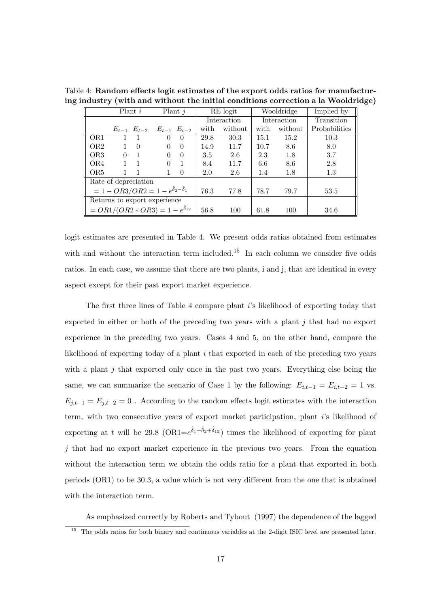|                                                           |              | Plant i                                         |          | Plant $j$        |      | RE logit    |      | Wooldridge  | Implied by    |
|-----------------------------------------------------------|--------------|-------------------------------------------------|----------|------------------|------|-------------|------|-------------|---------------|
|                                                           |              |                                                 |          |                  |      | Interaction |      | Interaction | Transition    |
|                                                           |              | $E_{t-1}$ $E_{t-2}$ $E_{t-1}$ $E_{t-2}$         |          |                  | with | without     | with | without     | Probabilities |
| OR <sub>1</sub>                                           |              |                                                 | $\theta$ | $\left( \right)$ | 29.8 | 30.3        | 15.1 | 15.2        | 10.3          |
| OR <sub>2</sub>                                           | 1            | $\Omega$                                        | $\left($ | $\theta$         | 14.9 | 11.7        | 10.7 | 8.6         | 8.0           |
| OR <sub>3</sub>                                           | $\Omega$     | $\overline{1}$                                  | $\left($ | $\theta$         | 3.5  | 2.6         | 2.3  | 1.8         | 3.7           |
| OR4                                                       | $\mathbf{1}$ | $\overline{1}$                                  | $\Omega$ | $\overline{1}$   | 8.4  | 11.7        | 6.6  | 8.6         | 2.8           |
| OR <sub>5</sub>                                           |              |                                                 |          | $\overline{0}$   | 2.0  | 2.6         | 1.4  | 1.8         | 1.3           |
|                                                           |              | Rate of depreciation                            |          |                  |      |             |      |             |               |
| $= 1 - OR3/OR2 = 1 - e^{\hat{\delta}_2 - \hat{\delta}_1}$ |              | 76.3                                            | 77.8     | 78.7             | 79.7 | 53.5        |      |             |               |
|                                                           |              | Returns to export experience                    |          |                  |      |             |      |             |               |
|                                                           |              | $= OR1/(OR2 * OR3) = 1 - e^{\hat{\delta}_{12}}$ |          |                  | 56.8 | 100         | 61.8 | 100         | 34.6          |

Table 4: Random effects logit estimates of the export odds ratios for manufacturing industry (with and without the initial conditions correction a la Wooldridge)

logit estimates are presented in Table 4. We present odds ratios obtained from estimates with and without the interaction term included.<sup>15</sup> In each column we consider five odds ratios. In each case, we assume that there are two plants, i and j, that are identical in every aspect except for their past export market experience.

The first three lines of Table 4 compare plant i's likelihood of exporting today that exported in either or both of the preceding two years with a plant  $j$  that had no export experience in the preceding two years. Cases 4 and 5, on the other hand, compare the likelihood of exporting today of a plant i that exported in each of the preceding two years with a plant  $j$  that exported only once in the past two years. Everything else being the same, we can summarize the scenario of Case 1 by the following:  $E_{i,t-1} = E_{i,t-2} = 1$  vs.  $E_{j,t-1} = E_{j,t-2} = 0$ . According to the random effects logit estimates with the interaction term, with two consecutive years of export market participation, plant  $i$ 's likelihood of exporting at t will be 29.8  $(OR1 = e^{\hat{\delta}_1 + \hat{\delta}_2 + \hat{\delta}_{12}})$  times the likelihood of exporting for plant  $j$  that had no export market experience in the previous two years. From the equation without the interaction term we obtain the odds ratio for a plant that exported in both periods (OR1) to be 30.3, a value which is not very different from the one that is obtained with the interaction term.

As emphasized correctly by Roberts and Tybout (1997) the dependence of the lagged

<sup>&</sup>lt;sup>15</sup> The odds ratios for both binary and continuous variables at the 2-digit ISIC level are presented later.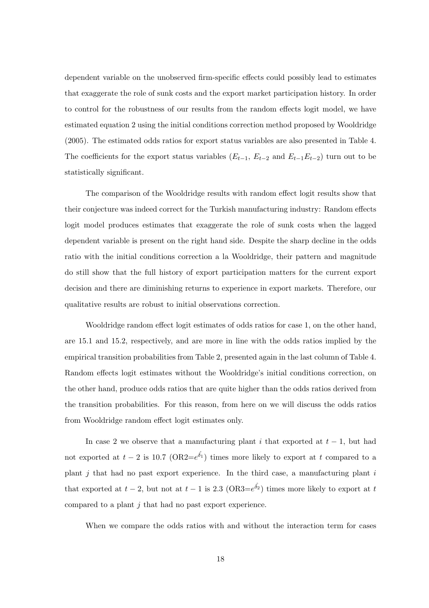dependent variable on the unobserved firm-specific effects could possibly lead to estimates that exaggerate the role of sunk costs and the export market participation history. In order to control for the robustness of our results from the random effects logit model, we have estimated equation 2 using the initial conditions correction method proposed by Wooldridge (2005). The estimated odds ratios for export status variables are also presented in Table 4. The coefficients for the export status variables  $(E_{t-1}, E_{t-2}$  and  $E_{t-1}E_{t-2})$  turn out to be statistically significant.

The comparison of the Wooldridge results with random effect logit results show that their conjecture was indeed correct for the Turkish manufacturing industry: Random effects logit model produces estimates that exaggerate the role of sunk costs when the lagged dependent variable is present on the right hand side. Despite the sharp decline in the odds ratio with the initial conditions correction a la Wooldridge, their pattern and magnitude do still show that the full history of export participation matters for the current export decision and there are diminishing returns to experience in export markets. Therefore, our qualitative results are robust to initial observations correction.

Wooldridge random effect logit estimates of odds ratios for case 1, on the other hand, are 15.1 and 15.2, respectively, and are more in line with the odds ratios implied by the empirical transition probabilities from Table 2, presented again in the last column of Table 4. Random effects logit estimates without the Wooldridge's initial conditions correction, on the other hand, produce odds ratios that are quite higher than the odds ratios derived from the transition probabilities. For this reason, from here on we will discuss the odds ratios from Wooldridge random effect logit estimates only.

In case 2 we observe that a manufacturing plant i that exported at  $t-1$ , but had not exported at  $t-2$  is 10.7 (OR2= $e^{\hat{\delta}_1}$ ) times more likely to export at t compared to a plant  $j$  that had no past export experience. In the third case, a manufacturing plant  $i$ that exported at  $t-2$ , but not at  $t-1$  is 2.3 (OR3= $e^{\hat{\delta}_2}$ ) times more likely to export at  $t$ compared to a plant j that had no past export experience.

When we compare the odds ratios with and without the interaction term for cases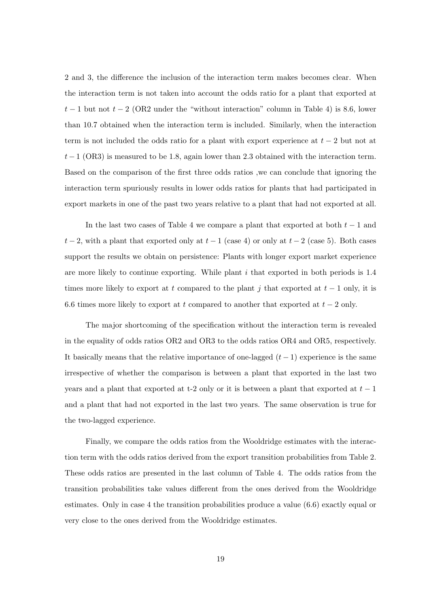2 and 3, the difference the inclusion of the interaction term makes becomes clear. When the interaction term is not taken into account the odds ratio for a plant that exported at  $t-1$  but not  $t-2$  (OR2 under the "without interaction" column in Table 4) is 8.6, lower than 10.7 obtained when the interaction term is included. Similarly, when the interaction term is not included the odds ratio for a plant with export experience at  $t-2$  but not at  $t-1$  (OR3) is measured to be 1.8, again lower than 2.3 obtained with the interaction term. Based on the comparison of the first three odds ratios ,we can conclude that ignoring the interaction term spuriously results in lower odds ratios for plants that had participated in export markets in one of the past two years relative to a plant that had not exported at all.

In the last two cases of Table 4 we compare a plant that exported at both  $t - 1$  and  $t-2$ , with a plant that exported only at  $t-1$  (case 4) or only at  $t-2$  (case 5). Both cases support the results we obtain on persistence: Plants with longer export market experience are more likely to continue exporting. While plant i that exported in both periods is 1.4 times more likely to export at t compared to the plant j that exported at  $t-1$  only, it is 6.6 times more likely to export at t compared to another that exported at  $t - 2$  only.

The major shortcoming of the specification without the interaction term is revealed in the equality of odds ratios OR2 and OR3 to the odds ratios OR4 and OR5, respectively. It basically means that the relative importance of one-lagged  $(t-1)$  experience is the same irrespective of whether the comparison is between a plant that exported in the last two years and a plant that exported at t-2 only or it is between a plant that exported at  $t-1$ and a plant that had not exported in the last two years. The same observation is true for the two-lagged experience.

Finally, we compare the odds ratios from the Wooldridge estimates with the interaction term with the odds ratios derived from the export transition probabilities from Table 2. These odds ratios are presented in the last column of Table 4. The odds ratios from the transition probabilities take values different from the ones derived from the Wooldridge estimates. Only in case 4 the transition probabilities produce a value (6.6) exactly equal or very close to the ones derived from the Wooldridge estimates.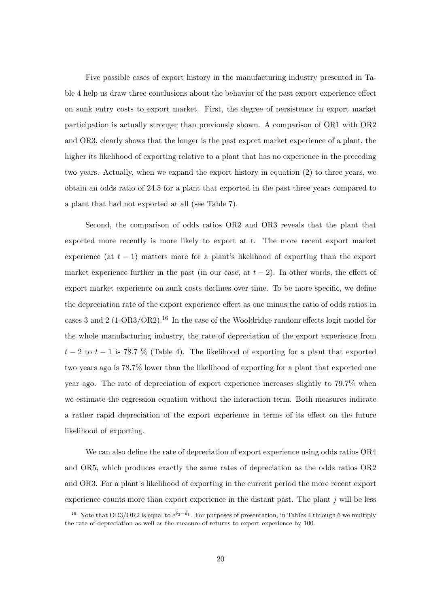Five possible cases of export history in the manufacturing industry presented in Table 4 help us draw three conclusions about the behavior of the past export experience effect on sunk entry costs to export market. First, the degree of persistence in export market participation is actually stronger than previously shown. A comparison of OR1 with OR2 and OR3, clearly shows that the longer is the past export market experience of a plant, the higher its likelihood of exporting relative to a plant that has no experience in the preceding two years. Actually, when we expand the export history in equation (2) to three years, we obtain an odds ratio of 24.5 for a plant that exported in the past three years compared to a plant that had not exported at all (see Table 7).

Second, the comparison of odds ratios OR2 and OR3 reveals that the plant that exported more recently is more likely to export at t. The more recent export market experience (at  $t-1$ ) matters more for a plant's likelihood of exporting than the export market experience further in the past (in our case, at  $t-2$ ). In other words, the effect of export market experience on sunk costs declines over time. To be more specific, we define the depreciation rate of the export experience effect as one minus the ratio of odds ratios in cases 3 and 2 (1-OR3/OR2).<sup>16</sup> In the case of the Wooldridge random effects logit model for the whole manufacturing industry, the rate of depreciation of the export experience from  $t-2$  to  $t-1$  is 78.7 % (Table 4). The likelihood of exporting for a plant that exported two years ago is 78.7% lower than the likelihood of exporting for a plant that exported one year ago. The rate of depreciation of export experience increases slightly to 79.7% when we estimate the regression equation without the interaction term. Both measures indicate a rather rapid depreciation of the export experience in terms of its effect on the future likelihood of exporting.

We can also define the rate of depreciation of export experience using odds ratios OR4 and OR5, which produces exactly the same rates of depreciation as the odds ratios OR2 and OR3. For a plant's likelihood of exporting in the current period the more recent export experience counts more than export experience in the distant past. The plant  $j$  will be less

<sup>&</sup>lt;sup>16</sup> Note that OR3/OR2 is equal to  $e^{\hat{\delta}_2-\hat{\delta}_1}$ . For purposes of presentation, in Tables 4 through 6 we multiply the rate of depreciation as well as the measure of returns to export experience by 100.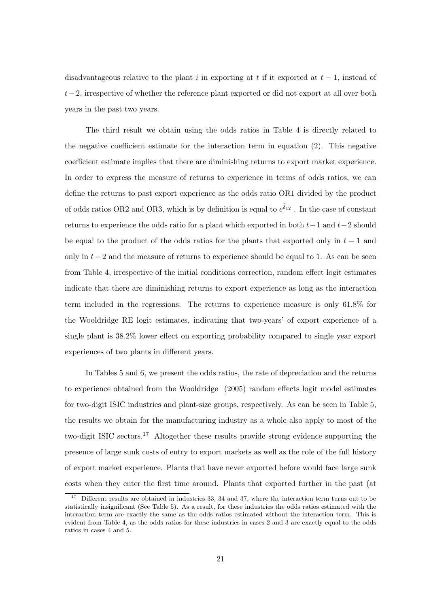disadvantageous relative to the plant i in exporting at t if it exported at  $t-1$ , instead of t−2, irrespective of whether the reference plant exported or did not export at all over both years in the past two years.

The third result we obtain using the odds ratios in Table 4 is directly related to the negative coefficient estimate for the interaction term in equation (2). This negative coefficient estimate implies that there are diminishing returns to export market experience. In order to express the measure of returns to experience in terms of odds ratios, we can define the returns to past export experience as the odds ratio OR1 divided by the product of odds ratios OR2 and OR3, which is by definition is equal to  $e^{\hat{\delta}_{12}}$ . In the case of constant returns to experience the odds ratio for a plant which exported in both  $t-1$  and  $t-2$  should be equal to the product of the odds ratios for the plants that exported only in  $t-1$  and only in  $t-2$  and the measure of returns to experience should be equal to 1. As can be seen from Table 4, irrespective of the initial conditions correction, random effect logit estimates indicate that there are diminishing returns to export experience as long as the interaction term included in the regressions. The returns to experience measure is only 61.8% for the Wooldridge RE logit estimates, indicating that two-years' of export experience of a single plant is 38.2% lower effect on exporting probability compared to single year export experiences of two plants in different years.

In Tables 5 and 6, we present the odds ratios, the rate of depreciation and the returns to experience obtained from the Wooldridge (2005) random effects logit model estimates for two-digit ISIC industries and plant-size groups, respectively. As can be seen in Table 5, the results we obtain for the manufacturing industry as a whole also apply to most of the two-digit ISIC sectors.<sup>17</sup> Altogether these results provide strong evidence supporting the presence of large sunk costs of entry to export markets as well as the role of the full history of export market experience. Plants that have never exported before would face large sunk costs when they enter the first time around. Plants that exported further in the past (at

<sup>&</sup>lt;sup>17</sup> Different results are obtained in industries 33, 34 and 37, where the interaction term turns out to be statistically insignificant (See Table 5). As a result, for these industries the odds ratios estimated with the interaction term are exactly the same as the odds ratios estimated without the interaction term. This is evident from Table 4, as the odds ratios for these industries in cases 2 and 3 are exactly equal to the odds ratios in cases 4 and 5.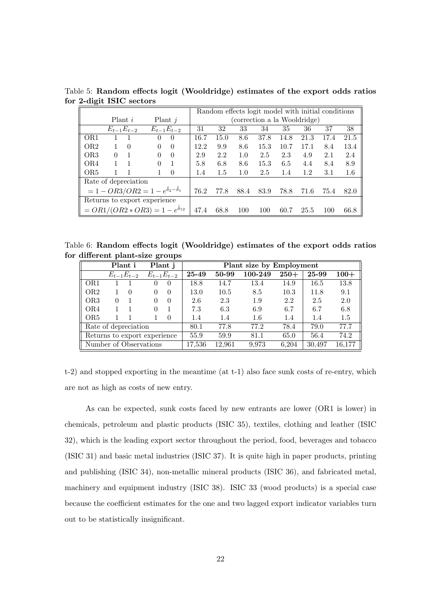|                 |                                                           |                      |      | Random effects logit model with initial conditions |      |      |                              |      |      |         |
|-----------------|-----------------------------------------------------------|----------------------|------|----------------------------------------------------|------|------|------------------------------|------|------|---------|
|                 | Plant i                                                   | Plant $j$            |      |                                                    |      |      | (correction a la Wooldridge) |      |      |         |
|                 | $E_{t-1}E_{t-2}$                                          | $E_{t-1}E_{t-2}$     | 31   | 32                                                 | 33   | 34   | 35                           | 36   | 37   | 38      |
| OR <sub>1</sub> |                                                           | $\Omega$<br>$\theta$ | 16.7 | 15.0                                               | 8.6  | 37.8 | 14.8                         | 21.3 | 17.4 | 21.5    |
| OR <sub>2</sub> | $\Omega$                                                  | $\Omega$<br>$\Omega$ | 12.2 | 9.9                                                | 8.6  | 15.3 | 10.7                         | 17.1 | 8.4  | 13.4    |
| OR <sub>3</sub> | 0                                                         | $\Omega$<br>$\Omega$ | 2.9  | 2.2                                                | 1.0  | 2.5  | 2.3                          | 4.9  | 2.1  | 2.4     |
| OR4             |                                                           | $\Omega$             | 5.8  | 6.8                                                | 8.6  | 15.3 | 6.5                          | 4.4  | 8.4  | 8.9     |
| OR5             |                                                           | $\Omega$             | 1.4  | 1.5                                                | 1.0  | 2.5  | 1.4                          | 1.2  | 3.1  | $1.6\,$ |
|                 | Rate of depreciation                                      |                      |      |                                                    |      |      |                              |      |      |         |
|                 | $= 1 - OR3/OR2 = 1 - e^{\hat{\delta}_2 - \hat{\delta}_1}$ |                      | 76.2 | 77.8                                               | 88.4 | 83.9 | 78.8                         | 71.6 | 75.4 | 82.0    |
|                 | Returns to export experience                              |                      |      |                                                    |      |      |                              |      |      |         |
|                 | $= OR1/(OR2 * OR3) = 1 - e^{\hat{\delta}_{12}}$           |                      | 47.4 | 68.8                                               | 100  | 100  | 60.7                         | 25.5 | 100  | 66.8    |

Table 5: Random effects logit (Wooldridge) estimates of the export odds ratios for 2-digit ISIC sectors

Table 6: Random effects logit (Wooldridge) estimates of the export odds ratios for different plant-size groups

|                              | Plant j<br>Plant i |                  |  | Plant size by Employment |        |        |         |        |        |        |
|------------------------------|--------------------|------------------|--|--------------------------|--------|--------|---------|--------|--------|--------|
|                              | $E_{t-1}E_{t-2}$   |                  |  | $E_{t-1}E_{t-2}$         | 25-49  | 50-99  | 100-249 | $250+$ | 25-99  | $100+$ |
| OR1                          |                    |                  |  |                          | 18.8   | 14.7   | 13.4    | 14.9   | 16.5   | 13.8   |
| OR <sub>2</sub>              |                    | $\left( \right)$ |  | $\left( \right)$         | 13.0   | 10.5   | 8.5     | 10.3   | 11.8   | 9.1    |
| OR <sub>3</sub>              | 0                  |                  |  | $\theta$                 | 2.6    | 2.3    | 1.9     | 2.2    | 2.5    | 2.0    |
| OR4                          |                    |                  |  |                          | 7.3    | 6.3    | 6.9     | 6.7    | 6.7    | 6.8    |
| OR <sub>5</sub>              |                    |                  |  | $\Omega$                 | 1.4    | 1.4    | 1.6     | 1.4    | 1.4    | 1.5    |
| Rate of depreciation         |                    |                  |  |                          | 80.1   | 77.8   | 77.2    | 78.4   | 79.0   | 77.7   |
| Returns to export experience |                    |                  |  |                          | 55.9   | 59.9   | 81.1    | 65.0   | 56.4   | 74.2   |
| Number of Observations       |                    |                  |  |                          | 17,536 | 12,961 | 9,973   | 6,204  | 30,497 | 16,177 |

t-2) and stopped exporting in the meantime (at t-1) also face sunk costs of re-entry, which are not as high as costs of new entry.

As can be expected, sunk costs faced by new entrants are lower (OR1 is lower) in chemicals, petroleum and plastic products (ISIC 35), textiles, clothing and leather (ISIC 32), which is the leading export sector throughout the period, food, beverages and tobacco (ISIC 31) and basic metal industries (ISIC 37). It is quite high in paper products, printing and publishing (ISIC 34), non-metallic mineral products (ISIC 36), and fabricated metal, machinery and equipment industry (ISIC 38). ISIC 33 (wood products) is a special case because the coefficient estimates for the one and two lagged export indicator variables turn out to be statistically insignificant.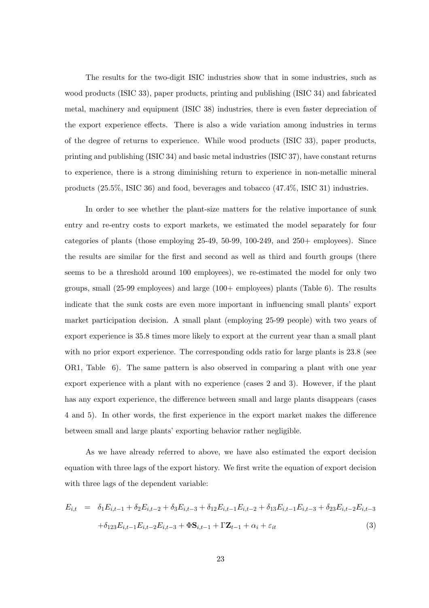The results for the two-digit ISIC industries show that in some industries, such as wood products (ISIC 33), paper products, printing and publishing (ISIC 34) and fabricated metal, machinery and equipment (ISIC 38) industries, there is even faster depreciation of the export experience effects. There is also a wide variation among industries in terms of the degree of returns to experience. While wood products (ISIC 33), paper products, printing and publishing (ISIC 34) and basic metal industries (ISIC 37), have constant returns to experience, there is a strong diminishing return to experience in non-metallic mineral products (25.5%, ISIC 36) and food, beverages and tobacco (47.4%, ISIC 31) industries.

In order to see whether the plant-size matters for the relative importance of sunk entry and re-entry costs to export markets, we estimated the model separately for four categories of plants (those employing 25-49, 50-99, 100-249, and 250+ employees). Since the results are similar for the first and second as well as third and fourth groups (there seems to be a threshold around 100 employees), we re-estimated the model for only two groups, small (25-99 employees) and large (100+ employees) plants (Table 6). The results indicate that the sunk costs are even more important in influencing small plants' export market participation decision. A small plant (employing 25-99 people) with two years of export experience is 35.8 times more likely to export at the current year than a small plant with no prior export experience. The corresponding odds ratio for large plants is 23.8 (see OR1, Table 6). The same pattern is also observed in comparing a plant with one year export experience with a plant with no experience (cases 2 and 3). However, if the plant has any export experience, the difference between small and large plants disappears (cases 4 and 5). In other words, the first experience in the export market makes the difference between small and large plants' exporting behavior rather negligible.

As we have already referred to above, we have also estimated the export decision equation with three lags of the export history. We first write the equation of export decision with three lags of the dependent variable:

$$
E_{i,t} = \delta_1 E_{i,t-1} + \delta_2 E_{i,t-2} + \delta_3 E_{i,t-3} + \delta_{12} E_{i,t-1} E_{i,t-2} + \delta_{13} E_{i,t-1} E_{i,t-3} + \delta_{23} E_{i,t-2} E_{i,t-3} + \delta_{123} E_{i,t-1} E_{i,t-2} E_{i,t-3} + \Phi \mathbf{S}_{i,t-1} + \Gamma \mathbf{Z}_{t-1} + \alpha_i + \varepsilon_{it}
$$
\n(3)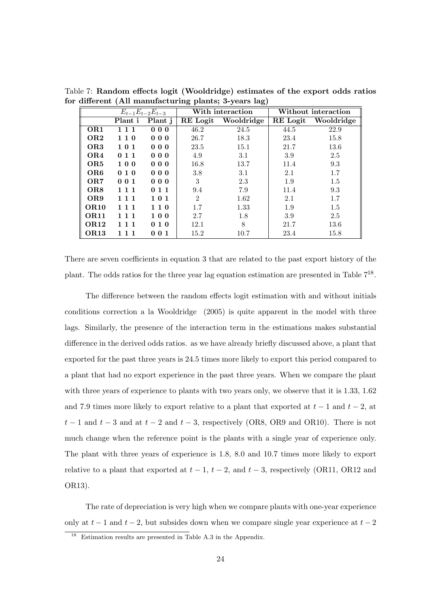|                  |         | $E_{t-1}E_{t-2}E_{t-3}$ |                | With interaction |          | Without interaction |
|------------------|---------|-------------------------|----------------|------------------|----------|---------------------|
|                  | Plant i | Plant j                 | RE Logit       | Wooldridge       | RE Logit | Wooldridge          |
| OR <sub>1</sub>  | 111     | 000                     | 46.2           | 24.5             | 44.5     | 22.9                |
| OR <sub>2</sub>  | 110     | 000                     | 26.7           | 18.3             | 23.4     | 15.8                |
| OR <sub>3</sub>  | 101     | 000                     | 23.5           | 15.1             | 21.7     | 13.6                |
| OR4              | 011     | 000                     | 4.9            | 3.1              | 3.9      | 2.5                 |
| OR5              | 100     | 000                     | 16.8           | 13.7             | 11.4     | 9.3                 |
| OR <sub>6</sub>  | 010     | 000                     | 3.8            | 3.1              | 2.1      | 1.7                 |
| OR7              | 001     | 000                     | 3              | 2.3              | 1.9      | 1.5                 |
| OR8              | 111     | 011                     | 9.4            | 7.9              | 11.4     | 9.3                 |
| OR9              | 1 1 1   | 101                     | $\overline{2}$ | 1.62             | 2.1      | 1.7                 |
| <b>OR10</b>      | 111     | 110                     | 1.7            | 1.33             | 1.9      | 1.5                 |
| OR <sub>11</sub> | 111     | 100                     | 2.7            | 1.8              | 3.9      | 2.5                 |
| <b>OR12</b>      | 1 1 1   | 010                     | 12.1           | 8                | 21.7     | 13.6                |
| OR <sub>13</sub> | 111     | 001                     | 15.2           | 10.7             | 23.4     | 15.8                |

Table 7: Random effects logit (Wooldridge) estimates of the export odds ratios for different (All manufacturing plants; 3-years lag)

There are seven coefficients in equation 3 that are related to the past export history of the plant. The odds ratios for the three year lag equation estimation are presented in Table  $7^{18}$ .

The difference between the random effects logit estimation with and without initials conditions correction a la Wooldridge (2005) is quite apparent in the model with three lags. Similarly, the presence of the interaction term in the estimations makes substantial difference in the derived odds ratios. as we have already briefly discussed above, a plant that exported for the past three years is 24.5 times more likely to export this period compared to a plant that had no export experience in the past three years. When we compare the plant with three years of experience to plants with two years only, we observe that it is 1.33, 1.62 and 7.9 times more likely to export relative to a plant that exported at  $t-1$  and  $t-2$ , at  $t-1$  and  $t-3$  and at  $t-2$  and  $t-3$ , respectively (OR8, OR9 and OR10). There is not much change when the reference point is the plants with a single year of experience only. The plant with three years of experience is 1.8, 8.0 and 10.7 times more likely to export relative to a plant that exported at  $t - 1$ ,  $t - 2$ , and  $t - 3$ , respectively (OR11, OR12 and OR13).

The rate of depreciation is very high when we compare plants with one-year experience only at  $t-1$  and  $t-2$ , but subsides down when we compare single year experience at  $t-2$ 

<sup>18</sup> Estimation results are presented in Table A.3 in the Appendix.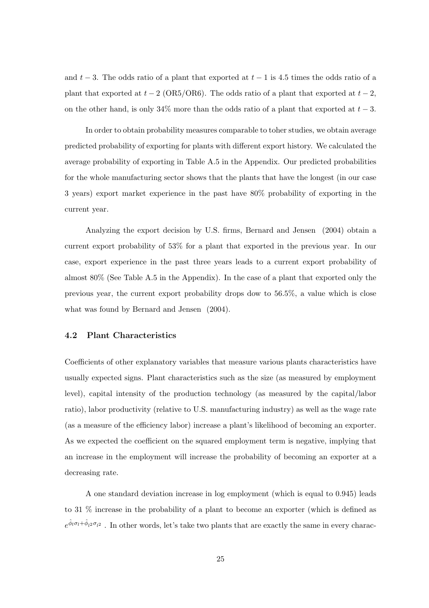and  $t-3$ . The odds ratio of a plant that exported at  $t-1$  is 4.5 times the odds ratio of a plant that exported at  $t - 2$  (OR5/OR6). The odds ratio of a plant that exported at  $t - 2$ , on the other hand, is only 34% more than the odds ratio of a plant that exported at  $t-3$ .

In order to obtain probability measures comparable to toher studies, we obtain average predicted probability of exporting for plants with different export history. We calculated the average probability of exporting in Table A.5 in the Appendix. Our predicted probabilities for the whole manufacturing sector shows that the plants that have the longest (in our case 3 years) export market experience in the past have 80% probability of exporting in the current year.

Analyzing the export decision by U.S. firms, Bernard and Jensen (2004) obtain a current export probability of 53% for a plant that exported in the previous year. In our case, export experience in the past three years leads to a current export probability of almost 80% (See Table A.5 in the Appendix). In the case of a plant that exported only the previous year, the current export probability drops dow to 56.5%, a value which is close what was found by Bernard and Jensen (2004).

#### 4.2 Plant Characteristics

Coefficients of other explanatory variables that measure various plants characteristics have usually expected signs. Plant characteristics such as the size (as measured by employment level), capital intensity of the production technology (as measured by the capital/labor ratio), labor productivity (relative to U.S. manufacturing industry) as well as the wage rate (as a measure of the efficiency labor) increase a plant's likelihood of becoming an exporter. As we expected the coefficient on the squared employment term is negative, implying that an increase in the employment will increase the probability of becoming an exporter at a decreasing rate.

A one standard deviation increase in log employment (which is equal to 0.945) leads to 31 % increase in the probability of a plant to become an exporter (which is defined as  $e^{\hat{\phi}_l \sigma_l + \hat{\phi}_{l2} \sigma_{l2}}$ . In other words, let's take two plants that are exactly the same in every charac-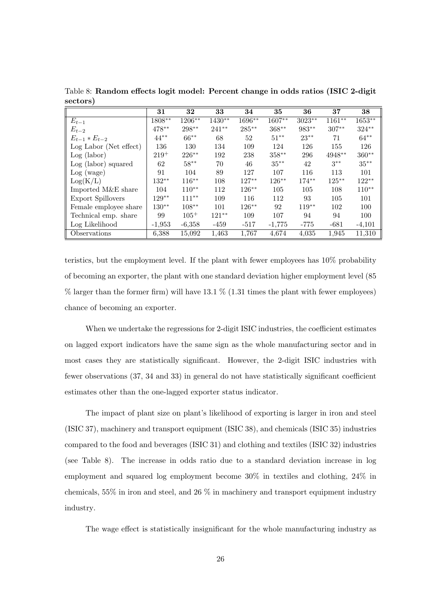|                        | 31        | 32       | 33       | 34        | 35       | 36       | 37        | 38       |
|------------------------|-----------|----------|----------|-----------|----------|----------|-----------|----------|
| $E_{t-1}$              | $1808***$ | 1206**   | $1430**$ | $1696***$ | $1607**$ | $3023**$ | $1161***$ | $1653**$ |
| $E_{t-2}$              | 478**     | 298**    | $241**$  | 285**     | $368**$  | 983**    | $307**$   | $324**$  |
| $E_{t-1} * E_{t-2}$    | $44**$    | $66***$  | 68       | 52        | $51***$  | $23**$   | 71        | $64***$  |
| Log Labor (Net effect) | 136       | 130      | 134      | 109       | 124      | 126      | 155       | 126      |
| Log (labor)            | $219+$    | 226**    | 192      | 238       | $358***$ | 296      | 4948**    | $360**$  |
| Log (labor) squared    | 62        | $58***$  | 70       | 46        | $35***$  | 42       | $3***$    | $35***$  |
| Log (wage)             | 91        | 104      | 89       | 127       | 107      | 116      | 113       | 101      |
| Log(K/L)               | 132**     | $116***$ | 108      | $127**$   | $126***$ | $174***$ | $125***$  | $122**$  |
| Imported M&E share     | 104       | $110**$  | 112      | $126***$  | 105      | 105      | 108       | $110**$  |
| Export Spillovers      | $129**$   | $111***$ | 109      | 116       | 112      | 93       | 105       | 101      |
| Female employee share  | $130**$   | $108**$  | 101      | $126***$  | 92       | $119***$ | 102       | 100      |
| Technical emp. share   | 99        | $105+$   | $121**$  | 109       | 107      | 94       | 94        | 100      |
| Log Likelihood         | $-1,953$  | $-6,358$ | $-459$   | $-517$    | $-1,775$ | $-775$   | $-681$    | $-4,101$ |
| Observations           | 6,388     | 15,092   | 1,463    | 1,767     | 4,674    | 4,035    | 1,945     | 11,310   |

Table 8: Random effects logit model: Percent change in odds ratios (ISIC 2-digit sectors)

teristics, but the employment level. If the plant with fewer employees has 10% probability of becoming an exporter, the plant with one standard deviation higher employment level (85  $\%$  larger than the former firm) will have 13.1  $\%$  (1.31 times the plant with fewer employees) chance of becoming an exporter.

When we undertake the regressions for 2-digit ISIC industries, the coefficient estimates on lagged export indicators have the same sign as the whole manufacturing sector and in most cases they are statistically significant. However, the 2-digit ISIC industries with fewer observations (37, 34 and 33) in general do not have statistically significant coefficient estimates other than the one-lagged exporter status indicator.

The impact of plant size on plant's likelihood of exporting is larger in iron and steel (ISIC 37), machinery and transport equipment (ISIC 38), and chemicals (ISIC 35) industries compared to the food and beverages (ISIC 31) and clothing and textiles (ISIC 32) industries (see Table 8). The increase in odds ratio due to a standard deviation increase in log employment and squared log employment become 30% in textiles and clothing, 24% in chemicals, 55% in iron and steel, and 26 % in machinery and transport equipment industry industry.

The wage effect is statistically insignificant for the whole manufacturing industry as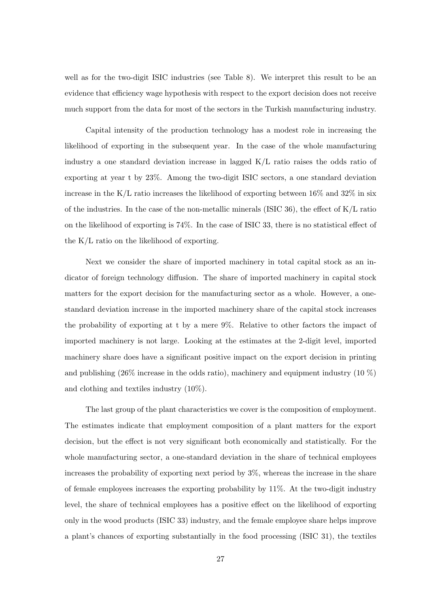well as for the two-digit ISIC industries (see Table 8). We interpret this result to be an evidence that efficiency wage hypothesis with respect to the export decision does not receive much support from the data for most of the sectors in the Turkish manufacturing industry.

Capital intensity of the production technology has a modest role in increasing the likelihood of exporting in the subsequent year. In the case of the whole manufacturing industry a one standard deviation increase in lagged K/L ratio raises the odds ratio of exporting at year t by 23%. Among the two-digit ISIC sectors, a one standard deviation increase in the K/L ratio increases the likelihood of exporting between 16% and 32% in six of the industries. In the case of the non-metallic minerals (ISIC 36), the effect of K/L ratio on the likelihood of exporting is 74%. In the case of ISIC 33, there is no statistical effect of the K/L ratio on the likelihood of exporting.

Next we consider the share of imported machinery in total capital stock as an indicator of foreign technology diffusion. The share of imported machinery in capital stock matters for the export decision for the manufacturing sector as a whole. However, a onestandard deviation increase in the imported machinery share of the capital stock increases the probability of exporting at t by a mere 9%. Relative to other factors the impact of imported machinery is not large. Looking at the estimates at the 2-digit level, imported machinery share does have a significant positive impact on the export decision in printing and publishing  $(26\%$  increase in the odds ratio), machinery and equipment industry  $(10\%)$ and clothing and textiles industry (10%).

The last group of the plant characteristics we cover is the composition of employment. The estimates indicate that employment composition of a plant matters for the export decision, but the effect is not very significant both economically and statistically. For the whole manufacturing sector, a one-standard deviation in the share of technical employees increases the probability of exporting next period by 3%, whereas the increase in the share of female employees increases the exporting probability by 11%. At the two-digit industry level, the share of technical employees has a positive effect on the likelihood of exporting only in the wood products (ISIC 33) industry, and the female employee share helps improve a plant's chances of exporting substantially in the food processing (ISIC 31), the textiles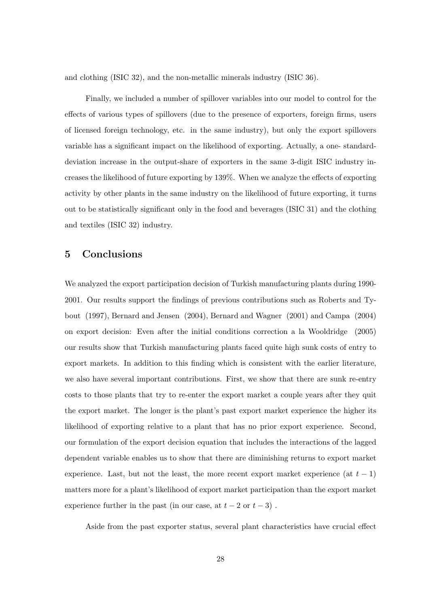and clothing (ISIC 32), and the non-metallic minerals industry (ISIC 36).

Finally, we included a number of spillover variables into our model to control for the effects of various types of spillovers (due to the presence of exporters, foreign firms, users of licensed foreign technology, etc. in the same industry), but only the export spillovers variable has a significant impact on the likelihood of exporting. Actually, a one- standarddeviation increase in the output-share of exporters in the same 3-digit ISIC industry increases the likelihood of future exporting by 139%. When we analyze the effects of exporting activity by other plants in the same industry on the likelihood of future exporting, it turns out to be statistically significant only in the food and beverages (ISIC 31) and the clothing and textiles (ISIC 32) industry.

## 5 Conclusions

We analyzed the export participation decision of Turkish manufacturing plants during 1990- 2001. Our results support the findings of previous contributions such as Roberts and Tybout (1997), Bernard and Jensen (2004), Bernard and Wagner (2001) and Campa (2004) on export decision: Even after the initial conditions correction a la Wooldridge (2005) our results show that Turkish manufacturing plants faced quite high sunk costs of entry to export markets. In addition to this finding which is consistent with the earlier literature, we also have several important contributions. First, we show that there are sunk re-entry costs to those plants that try to re-enter the export market a couple years after they quit the export market. The longer is the plant's past export market experience the higher its likelihood of exporting relative to a plant that has no prior export experience. Second, our formulation of the export decision equation that includes the interactions of the lagged dependent variable enables us to show that there are diminishing returns to export market experience. Last, but not the least, the more recent export market experience (at  $t-1$ ) matters more for a plant's likelihood of export market participation than the export market experience further in the past (in our case, at  $t - 2$  or  $t - 3$ ).

Aside from the past exporter status, several plant characteristics have crucial effect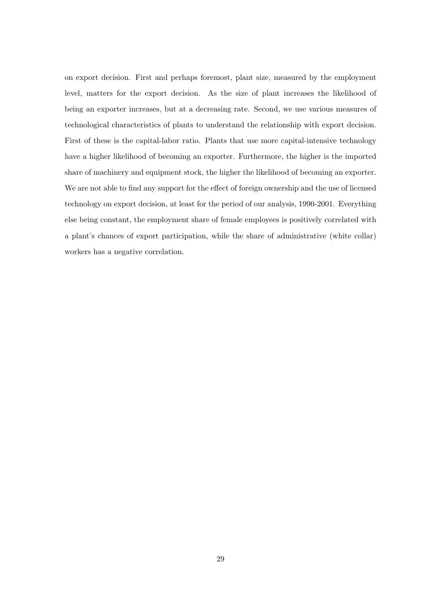on export decision. First and perhaps foremost, plant size, measured by the employment level, matters for the export decision. As the size of plant increases the likelihood of being an exporter increases, but at a decreasing rate. Second, we use various measures of technological characteristics of plants to understand the relationship with export decision. First of these is the capital-labor ratio. Plants that use more capital-intensive technology have a higher likelihood of becoming an exporter. Furthermore, the higher is the imported share of machinery and equipment stock, the higher the likelihood of becoming an exporter. We are not able to find any support for the effect of foreign ownership and the use of licensed technology on export decision, at least for the period of our analysis, 1990-2001. Everything else being constant, the employment share of female employees is positively correlated with a plant's chances of export participation, while the share of administrative (white collar) workers has a negative correlation.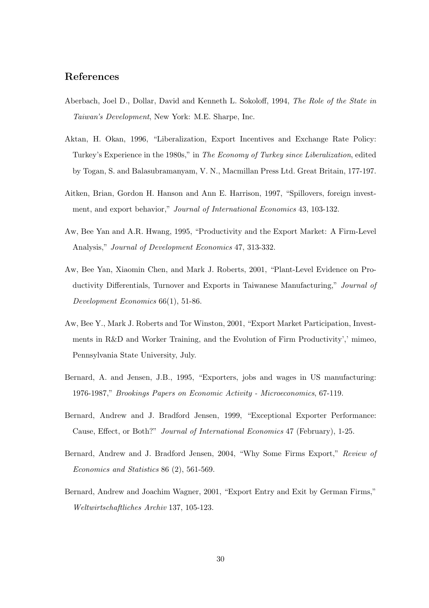### References

- Aberbach, Joel D., Dollar, David and Kenneth L. Sokoloff, 1994, The Role of the State in Taiwan's Development, New York: M.E. Sharpe, Inc.
- Aktan, H. Okan, 1996, "Liberalization, Export Incentives and Exchange Rate Policy: Turkey's Experience in the 1980s," in The Economy of Turkey since Liberalization, edited by Togan, S. and Balasubramanyam, V. N., Macmillan Press Ltd. Great Britain, 177-197.
- Aitken, Brian, Gordon H. Hanson and Ann E. Harrison, 1997, "Spillovers, foreign investment, and export behavior," Journal of International Economics 43, 103-132.
- Aw, Bee Yan and A.R. Hwang, 1995, "Productivity and the Export Market: A Firm-Level Analysis," Journal of Development Economics 47, 313-332.
- Aw, Bee Yan, Xiaomin Chen, and Mark J. Roberts, 2001, "Plant-Level Evidence on Productivity Differentials, Turnover and Exports in Taiwanese Manufacturing," Journal of Development Economics 66(1), 51-86.
- Aw, Bee Y., Mark J. Roberts and Tor Winston, 2001, "Export Market Participation, Investments in R&D and Worker Training, and the Evolution of Firm Productivity',' mimeo, Pennsylvania State University, July.
- Bernard, A. and Jensen, J.B., 1995, "Exporters, jobs and wages in US manufacturing: 1976-1987," Brookings Papers on Economic Activity - Microeconomics, 67-119.
- Bernard, Andrew and J. Bradford Jensen, 1999, "Exceptional Exporter Performance: Cause, Effect, or Both?" Journal of International Economics 47 (February), 1-25.
- Bernard, Andrew and J. Bradford Jensen, 2004, "Why Some Firms Export," Review of Economics and Statistics 86 (2), 561-569.
- Bernard, Andrew and Joachim Wagner, 2001, "Export Entry and Exit by German Firms," Weltwirtschaftliches Archiv 137, 105-123.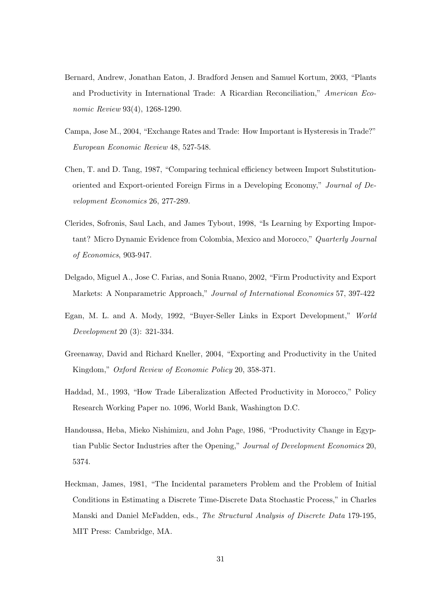- Bernard, Andrew, Jonathan Eaton, J. Bradford Jensen and Samuel Kortum, 2003, "Plants and Productivity in International Trade: A Ricardian Reconciliation," American Economic Review 93(4), 1268-1290.
- Campa, Jose M., 2004, "Exchange Rates and Trade: How Important is Hysteresis in Trade?" European Economic Review 48, 527-548.
- Chen, T. and D. Tang, 1987, "Comparing technical efficiency between Import Substitutionoriented and Export-oriented Foreign Firms in a Developing Economy," Journal of Development Economics 26, 277-289.
- Clerides, Sofronis, Saul Lach, and James Tybout, 1998, "Is Learning by Exporting Important? Micro Dynamic Evidence from Colombia, Mexico and Morocco," Quarterly Journal of Economics, 903-947.
- Delgado, Miguel A., Jose C. Farias, and Sonia Ruano, 2002, "Firm Productivity and Export Markets: A Nonparametric Approach," Journal of International Economics 57, 397-422
- Egan, M. L. and A. Mody, 1992, "Buyer-Seller Links in Export Development," World Development 20 (3): 321-334.
- Greenaway, David and Richard Kneller, 2004, "Exporting and Productivity in the United Kingdom," Oxford Review of Economic Policy 20, 358-371.
- Haddad, M., 1993, "How Trade Liberalization Affected Productivity in Morocco," Policy Research Working Paper no. 1096, World Bank, Washington D.C.
- Handoussa, Heba, Mieko Nishimizu, and John Page, 1986, "Productivity Change in Egyptian Public Sector Industries after the Opening," Journal of Development Economics 20, 5374.
- Heckman, James, 1981, "The Incidental parameters Problem and the Problem of Initial Conditions in Estimating a Discrete Time-Discrete Data Stochastic Process," in Charles Manski and Daniel McFadden, eds., The Structural Analysis of Discrete Data 179-195, MIT Press: Cambridge, MA.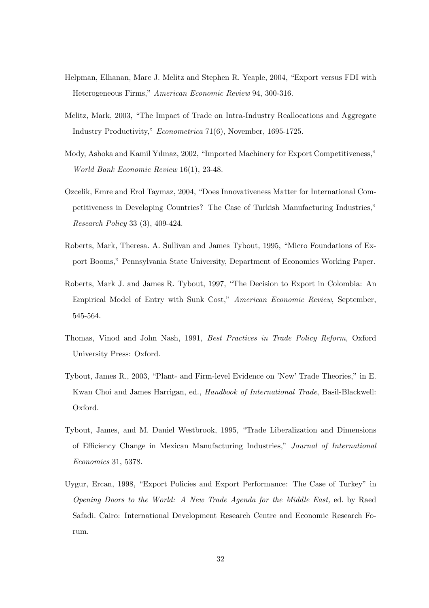- Helpman, Elhanan, Marc J. Melitz and Stephen R. Yeaple, 2004, "Export versus FDI with Heterogeneous Firms," American Economic Review 94, 300-316.
- Melitz, Mark, 2003, "The Impact of Trade on Intra-Industry Reallocations and Aggregate Industry Productivity," Econometrica 71(6), November, 1695-1725.
- Mody, Ashoka and Kamil Yılmaz, 2002, "Imported Machinery for Export Competitiveness," World Bank Economic Review 16(1), 23-48.
- Ozcelik, Emre and Erol Taymaz, 2004, "Does Innovativeness Matter for International Competitiveness in Developing Countries? The Case of Turkish Manufacturing Industries," Research Policy 33 (3), 409-424.
- Roberts, Mark, Theresa. A. Sullivan and James Tybout, 1995, "Micro Foundations of Export Booms," Pennsylvania State University, Department of Economics Working Paper.
- Roberts, Mark J. and James R. Tybout, 1997, "The Decision to Export in Colombia: An Empirical Model of Entry with Sunk Cost," American Economic Review, September, 545-564.
- Thomas, Vinod and John Nash, 1991, Best Practices in Trade Policy Reform, Oxford University Press: Oxford.
- Tybout, James R., 2003, "Plant- and Firm-level Evidence on 'New' Trade Theories," in E. Kwan Choi and James Harrigan, ed., Handbook of International Trade, Basil-Blackwell: Oxford.
- Tybout, James, and M. Daniel Westbrook, 1995, "Trade Liberalization and Dimensions of Efficiency Change in Mexican Manufacturing Industries," Journal of International Economics 31, 5378.
- Uygur, Ercan, 1998, "Export Policies and Export Performance: The Case of Turkey" in Opening Doors to the World: A New Trade Agenda for the Middle East, ed. by Raed Safadi. Cairo: International Development Research Centre and Economic Research Forum.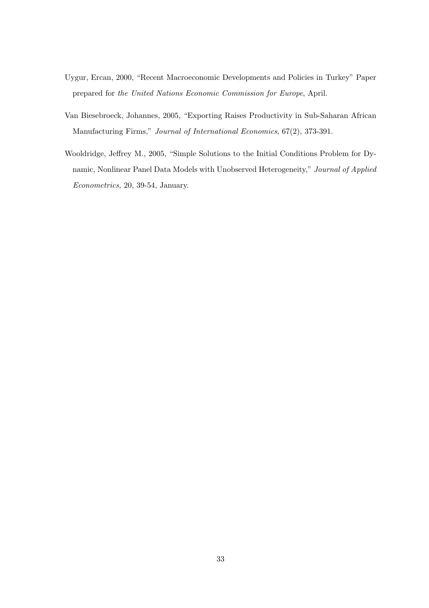- Uygur, Ercan, 2000, "Recent Macroeconomic Developments and Policies in Turkey" Paper prepared for the United Nations Economic Commission for Europe, April.
- Van Biesebroeck, Johannes, 2005, "Exporting Raises Productivity in Sub-Saharan African Manufacturing Firms," Journal of International Economics, 67(2), 373-391.
- Wooldridge, Jeffrey M., 2005, "Simple Solutions to the Initial Conditions Problem for Dynamic, Nonlinear Panel Data Models with Unobserved Heterogeneity," Journal of Applied Econometrics, 20, 39-54, January.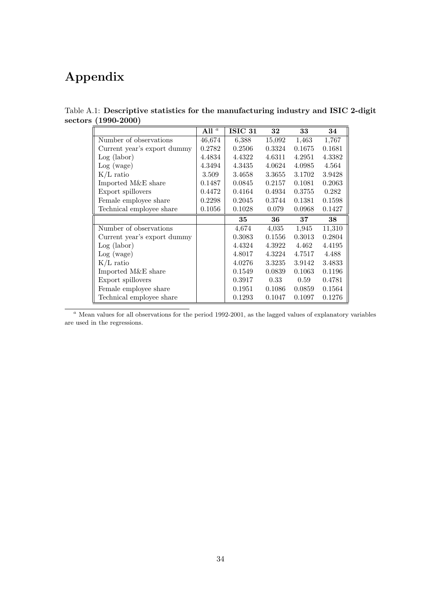# Appendix

|                             | All $^a$ | ISIC 31 | 32     | 33     | 34     |
|-----------------------------|----------|---------|--------|--------|--------|
| Number of observations      | 46,674   | 6,388   | 15,092 | 1,463  | 1,767  |
| Current year's export dummy | 0.2782   | 0.2506  | 0.3324 | 0.1675 | 0.1681 |
| $Log$ (labor)               | 4.4834   | 4.4322  | 4.6311 | 4.2951 | 4.3382 |
| Log (wage)                  | 4.3494   | 4.3435  | 4.0624 | 4.0985 | 4.564  |
| $K/L$ ratio                 | 3.509    | 3.4658  | 3.3655 | 3.1702 | 3.9428 |
| Imported M&E share          | 0.1487   | 0.0845  | 0.2157 | 0.1081 | 0.2063 |
| Export spillovers           | 0.4472   | 0.4164  | 0.4934 | 0.3755 | 0.282  |
| Female employee share       | 0.2298   | 0.2045  | 0.3744 | 0.1381 | 0.1598 |
| Technical employee share    | 0.1056   | 0.1028  | 0.079  | 0.0968 | 0.1427 |
|                             |          |         |        |        |        |
|                             |          | 35      | 36     | 37     | 38     |
| Number of observations      |          | 4,674   | 4,035  | 1,945  | 11,310 |
| Current year's export dummy |          | 0.3083  | 0.1556 | 0.3013 | 0.2804 |
| Log (labor)                 |          | 4.4324  | 4.3922 | 4.462  | 4.4195 |
| Log (wage)                  |          | 4.8017  | 4.3224 | 4.7517 | 4.488  |
| $K/L$ ratio                 |          | 4.0276  | 3.3235 | 3.9142 | 3.4833 |
| Imported M&E share          |          | 0.1549  | 0.0839 | 0.1063 | 0.1196 |
| Export spillovers           |          | 0.3917  | 0.33   | 0.59   | 0.4781 |
| Female employee share       |          | 0.1951  | 0.1086 | 0.0859 | 0.1564 |

Table A.1: Descriptive statistics for the manufacturing industry and ISIC 2-digit sectors (1990-2000)

 $a$  Mean values for all observations for the period 1992-2001, as the lagged values of explanatory variables are used in the regressions.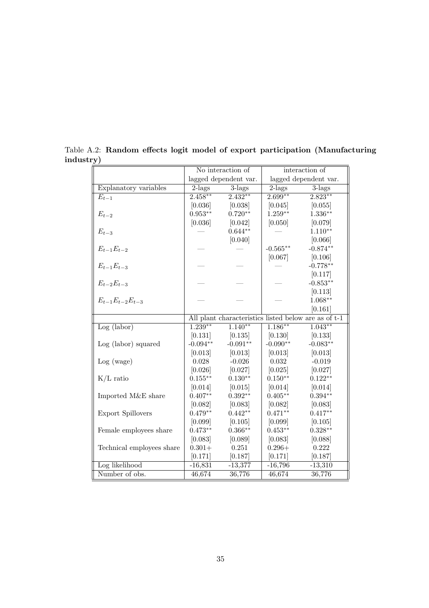|                           | No interaction of |                       | interaction of      |                                                      |  |
|---------------------------|-------------------|-----------------------|---------------------|------------------------------------------------------|--|
|                           |                   | lagged dependent var. |                     | lagged dependent var.                                |  |
| Explanatory variables     | $2$ -lags         | $3$ -lags             | $2$ -lags           | $3$ -lags                                            |  |
| $E_{t-1}$                 | $2.458***$        | $2.432**$             | $2.699**$           | $2.823**$                                            |  |
|                           | [0.036]           | [0.038]               | [0.045]             | [0.055]                                              |  |
| $E_{t-2}$                 | $0.953**$         | $0.720**$             | $1.259**$           | $1.336**$                                            |  |
|                           | [0.036]           | [0.042]               | [0.050]             | [0.079]                                              |  |
| $E_{t-3}$                 |                   | $0.644**$             |                     | $1.110**$                                            |  |
|                           |                   | [0.040]               |                     | [0.066]                                              |  |
| $E_{t-1}E_{t-2}$          |                   |                       | $-0.565^{\ast\ast}$ | $-0.874**$                                           |  |
|                           |                   |                       | [0.067]             | [0.106]                                              |  |
| $E_{t-1}E_{t-3}$          |                   |                       |                     | $-0.778**$                                           |  |
|                           |                   |                       |                     | [0.117]                                              |  |
| $E_{t-2}E_{t-3}$          |                   |                       |                     | $-0.853**$                                           |  |
|                           |                   |                       |                     | [0.113]                                              |  |
| $E_{t-1}E_{t-2}E_{t-3}$   |                   |                       |                     | $1.068**$                                            |  |
|                           |                   |                       |                     | [0.161]                                              |  |
|                           |                   |                       |                     | All plant characteristics listed below are as of t-1 |  |
| Log (labor)               | $1.239**$         | $1.140**$             | $1.186***$          | $1.043**$                                            |  |
|                           |                   | $[0.131]$ $[0.135]$   | [0.130]             | [0.133]                                              |  |
| Log (labor) squared       | $-0.094**$        | $-0.091**$            | $-0.090**$          | $-0.083**$                                           |  |
|                           | [0.013]           | [0.013]               | [0.013]             | [0.013]                                              |  |
| Log (wage)                | 0.028             | $-0.026$              | 0.032               | $-0.019$                                             |  |
|                           | [0.026]           | [0.027]               | [0.025]             | [0.027]                                              |  |
| $K/L$ ratio               | $0.155***$        | $0.130**$             | $0.150**$           | $0.122**$                                            |  |
|                           | [0.014]           | [0.015]               | [0.014]             | [0.014]                                              |  |
| Imported M&E share        | $0.407**$         | $0.392**$             | $0.405**$           | $0.394**$                                            |  |
|                           | [0.082]           | [0.083]               | [0.082]             | [0.083]                                              |  |
| <b>Export Spillovers</b>  | $0.479**$         | $0.442**$             | $0.471**$           | $0.417**$                                            |  |
|                           | [0.099]           | [0.105]               | [0.099]             | [0.105]                                              |  |
| Female employees share    | $0.473**$         | $0.366**$             | $0.453**$           | $0.328**$                                            |  |
|                           | [0.083]           | [0.089]               | [0.083]             | [0.088]                                              |  |
| Technical employees share | $0.301+$          | 0.251                 | $0.296 +$           | 0.222                                                |  |
|                           | [0.171]           | [0.187]               | [0.171]             | [0.187]                                              |  |
| Log likelihood            | $-16,831$         | $-13,377$             | $-16,796$           | $-13,310$                                            |  |
| Number of obs.            | 46,674            | 36,776                | 46,674              | 36,776                                               |  |

Table A.2: Random effects logit model of export participation (Manufacturing  $\frac{\text{industry}}{\sqrt{2}}$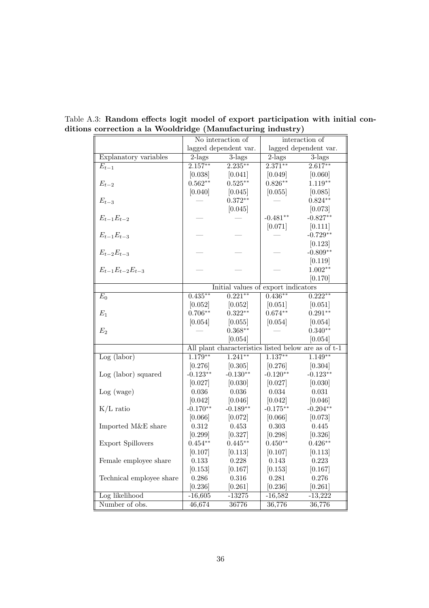|                          | No interaction of |                                     | interaction of |                                                      |  |
|--------------------------|-------------------|-------------------------------------|----------------|------------------------------------------------------|--|
|                          |                   | lagged dependent var.               |                | lagged dependent var.                                |  |
| Explanatory variables    | $2$ -lags         | $3$ -lags                           | $2$ -lags      | $3$ -lags                                            |  |
| $E_{t-1}$                | $2.157***$        | $2.235***$                          | $2.371***$     | $2.617**$                                            |  |
|                          | [0.038]           | [0.041]                             | [0.049]        | [0.060]                                              |  |
| $E_{t-2}$                | $0.562**$         | $0.525***$                          | $0.826**$      | $1.119**$                                            |  |
|                          | [0.040]           | [0.045]                             | [0.055]        | [0.085]                                              |  |
| $E_{t-3}$                |                   | $0.372**$                           |                | $0.824**$                                            |  |
|                          |                   | [0.045]                             |                | [0.073]                                              |  |
| $E_{t-1}E_{t-2}$         |                   |                                     | $-0.481**$     | $-0.827**$                                           |  |
|                          |                   |                                     | [0.071]        | [0.111]                                              |  |
| $E_{t-1}E_{t-3}$         |                   |                                     |                | $-0.729**$                                           |  |
|                          |                   |                                     |                | [0.123]                                              |  |
| $E_{t-2}E_{t-3}$         |                   |                                     |                | $-0.809**$                                           |  |
|                          |                   |                                     |                | [0.119]                                              |  |
| $E_{t-1}E_{t-2}E_{t-3}$  |                   |                                     |                | $1.002**$                                            |  |
|                          |                   |                                     |                | [0.170]                                              |  |
|                          |                   | Initial values of export indicators |                |                                                      |  |
| $E_0$                    | $0.435***$        | $0.221**$                           | $0.436**$      | $0.222**$                                            |  |
|                          | [0.052]           | [0.052]                             | [0.051]        | [0.051]                                              |  |
| $E_1$                    | $0.706**$         | $0.322**$                           | $0.674**$      | $0.291**$                                            |  |
|                          | [0.054]           | [0.055]                             | [0.054]        | [0.054]                                              |  |
| E <sub>2</sub>           |                   | $0.368**$                           |                | $0.340**$                                            |  |
|                          |                   | [0.054]                             |                | [0.054]                                              |  |
|                          |                   |                                     |                | All plant characteristics listed below are as of t-1 |  |
| Log (labor)              | $1.179**$         | $1.241**$                           | $1.137**$      | $1.149**$                                            |  |
|                          | [0.276]           | [0.305]                             | [0.276]        | [0.304]                                              |  |
| Log (labor) squared      | $-0.123**$        | $-0.130**$                          | $-0.120**$     | $-0.123**$                                           |  |
|                          | [0.027]           | [0.030]                             | [0.027]        | [0.030]                                              |  |
| Log (wage)               | 0.036             | 0.036                               | 0.034          | 0.031                                                |  |
|                          | [0.042]           | [0.046]                             | [0.042]        | [0.046]                                              |  |
| $K/L$ ratio              | $-0.170**$        | $-0.189**$                          | $-0.175**$     | $-0.204**$                                           |  |
|                          | [0.066]           | [0.072]                             | [0.066]        | [0.073]                                              |  |
| Imported M&E share       | 0.312             | 0.453                               | 0.303          | 0.445                                                |  |
|                          | [0.299]           | [0.327]                             | [0.298]        | [0.326]                                              |  |
| <b>Export Spillovers</b> | $0.454**$         | $0.445**$                           | $0.450**$      | $0.426**$                                            |  |
|                          | [0.107]           | [0.113]                             | [0.107]        | [0.113]                                              |  |
| Female employee share    | 0.133             | 0.228                               | 0.143          | 0.223                                                |  |
|                          | [0.153]           | [0.167]                             | [0.153]        | [0.167]                                              |  |
| Technical employee share | 0.286             | $0.316\,$                           | 0.281          | 0.276                                                |  |
|                          | [0.236]           | [0.261]                             | [0.236]        | [0.261]                                              |  |
| Log likelihood           | $-16,605$         | $-13275$                            | $-16,582$      | $-13,222$                                            |  |
| Number of obs.           | 46,674            | 36776                               | 36,776         | 36,776                                               |  |

Table A.3: Random effects logit model of export participation with initial conditions correction a la Wooldridge (Manufacturing industry)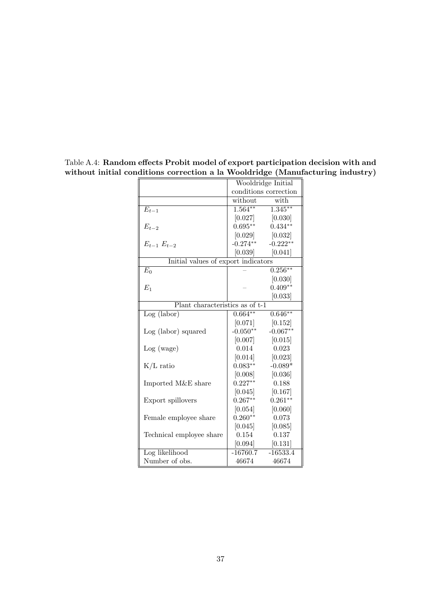|                                     |             | Wooldridge Initial                   |
|-------------------------------------|-------------|--------------------------------------|
|                                     |             | conditions correction                |
|                                     | without     | with                                 |
| $E_{t-1}$                           |             | $\overline{1.564^{**}$ $1.345^{**}}$ |
|                                     | [0.027]     | [0.030]                              |
| $E_{t-2}$                           | $0.695**$   | $0.434**$                            |
|                                     |             | $[0.029]$ $[0.032]$                  |
| $E_{t-1}$ $E_{t-2}$                 | $-0.274***$ | $-0.222**$                           |
|                                     | [0.039]     | [0.041]                              |
| Initial values of export indicators |             |                                      |
| $E_0$                               |             | $0.256***$                           |
|                                     |             | [0.030]                              |
| $E_1$                               |             | $0.409**$                            |
|                                     |             | [0.033]                              |
| Plant characteristics as of t-1     |             |                                      |
| Log (labor)                         | $0.664**$   | $0.646**$                            |
|                                     | [0.071]     | [0.152]                              |
| Log (labor) squared                 | $-0.050**$  | $-0.067**$                           |
|                                     | [0.007]     | [0.015]                              |
| Log (wage)                          | 0.014       | 0.023                                |
|                                     | [0.014]     | [0.023]                              |
| $K/L$ ratio                         | $0.083**$   | $-0.089*$                            |
|                                     | [0.008]     | [0.036]                              |
| Imported M&E share                  | $0.227**$   | 0.188                                |
|                                     | [0.045]     | [0.167]                              |
| Export spillovers                   | $0.267**$   | $0.261**$                            |
|                                     | [0.054]     | [0.060]                              |
| Female employee share               | $0.260**$   | 0.073                                |
|                                     | [0.045]     | [0.085]                              |
| Technical employee share            | 0.154       | 0.137                                |
|                                     |             | $[0.094]$ $[0.131]$                  |
| Log likelihood                      |             | $-16760.7$ $-16533.4$                |
| Number of obs.                      | 46674       | 46674                                |

Table A.4: Random effects Probit model of export participation decision with and without initial conditions correction a la Wooldridge (Manufacturing industry)